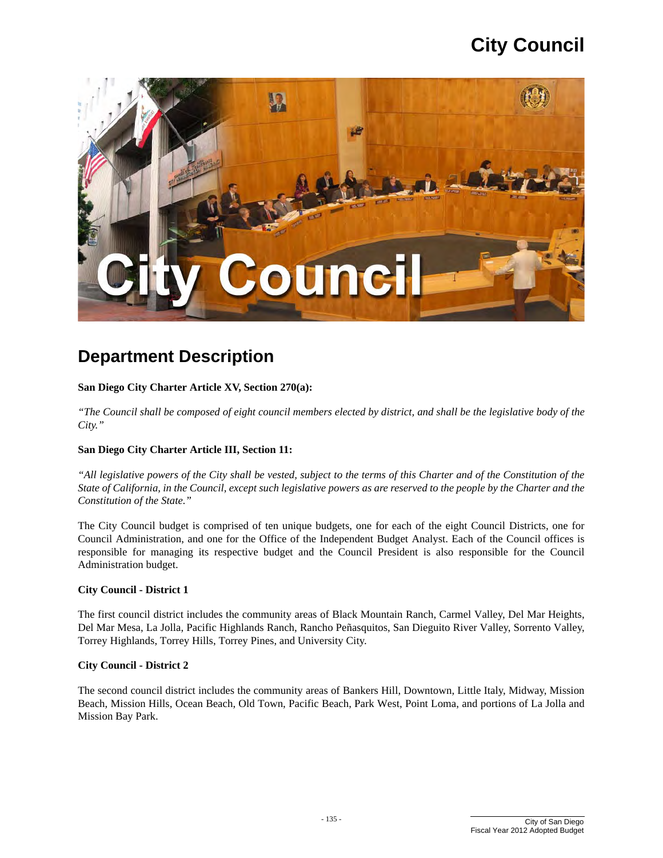

# **Department Description**

#### **San Diego City Charter Article XV, Section 270(a):**

 *"The Council shall be composed of eight council members elected by district, and shall be the legislative body of the City."* 

#### **San Diego City Charter Article III, Section 11:**

*"All legislative powers of the City shall be vested, subject to the terms of this Charter and of the Constitution of the State of California, in the Council, except such legislative powers as are reserved to the people by the Charter and the Constitution of the State."* 

The City Council budget is comprised of ten unique budgets, one for each of the eight Council Districts, one for Council Administration, and one for the Office of the Independent Budget Analyst. Each of the Council offices is responsible for managing its respective budget and the Council President is also responsible for the Council Administration budget.

#### **City Council - District 1**

The first council district includes the community areas of Black Mountain Ranch, Carmel Valley, Del Mar Heights, Del Mar Mesa, La Jolla, Pacific Highlands Ranch, Rancho Peñasquitos, San Dieguito River Valley, Sorrento Valley, Torrey Highlands, Torrey Hills, Torrey Pines, and University City.

#### **City Council - District 2**

The second council district includes the community areas of Bankers Hill, Downtown, Little Italy, Midway, Mission Beach, Mission Hills, Ocean Beach, Old Town, Pacific Beach, Park West, Point Loma, and portions of La Jolla and Mission Bay Park.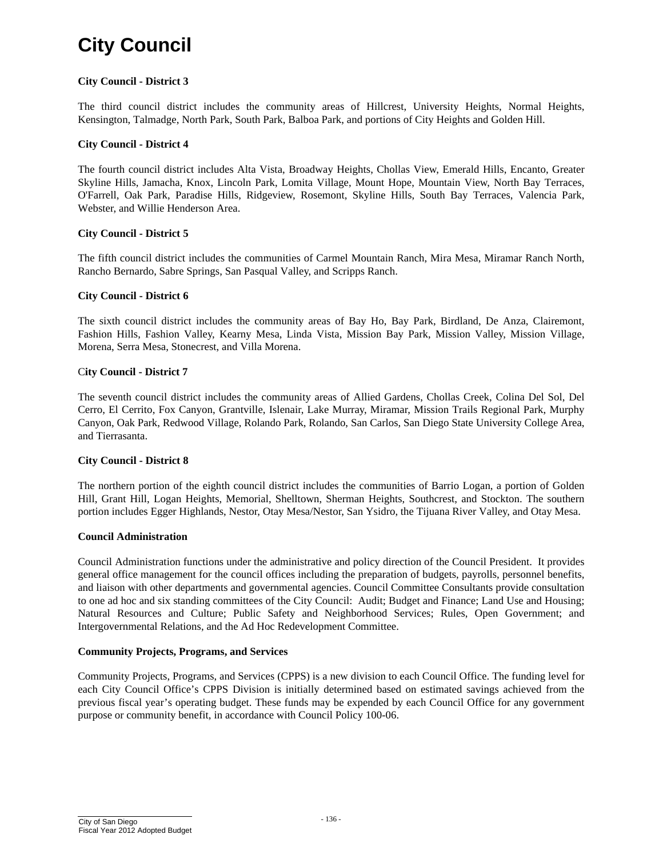#### **City Council - District 3**

The third council district includes the community areas of Hillcrest, University Heights, Normal Heights, Kensington, Talmadge, North Park, South Park, Balboa Park, and portions of City Heights and Golden Hill.

#### **City Council - District 4**

The fourth council district includes Alta Vista, Broadway Heights, Chollas View, Emerald Hills, Encanto, Greater Skyline Hills, Jamacha, Knox, Lincoln Park, Lomita Village, Mount Hope, Mountain View, North Bay Terraces, O'Farrell, Oak Park, Paradise Hills, Ridgeview, Rosemont, Skyline Hills, South Bay Terraces, Valencia Park, Webster, and Willie Henderson Area.

#### **City Council - District 5**

The fifth council district includes the communities of Carmel Mountain Ranch, Mira Mesa, Miramar Ranch North, Rancho Bernardo, Sabre Springs, San Pasqual Valley, and Scripps Ranch.

#### **City Council - District 6**

The sixth council district includes the community areas of Bay Ho, Bay Park, Birdland, De Anza, Clairemont, Fashion Hills, Fashion Valley, Kearny Mesa, Linda Vista, Mission Bay Park, Mission Valley, Mission Village, Morena, Serra Mesa, Stonecrest, and Villa Morena.

#### C**ity Council - District 7**

The seventh council district includes the community areas of Allied Gardens, Chollas Creek, Colina Del Sol, Del Cerro, El Cerrito, Fox Canyon, Grantville, Islenair, Lake Murray, Miramar, Mission Trails Regional Park, Murphy Canyon, Oak Park, Redwood Village, Rolando Park, Rolando, San Carlos, San Diego State University College Area, and Tierrasanta.

#### **City Council - District 8**

The northern portion of the eighth council district includes the communities of Barrio Logan, a portion of Golden Hill, Grant Hill, Logan Heights, Memorial, Shelltown, Sherman Heights, Southcrest, and Stockton. The southern portion includes Egger Highlands, Nestor, Otay Mesa/Nestor, San Ysidro, the Tijuana River Valley, and Otay Mesa.

#### **Council Administration**

 Council Administration functions under the administrative and policy direction of the Council President. It provides general office management for the council offices including the preparation of budgets, payrolls, personnel benefits, and liaison with other departments and governmental agencies. Council Committee Consultants provide consultation to one ad hoc and six standing committees of the City Council: Audit; Budget and Finance; Land Use and Housing; Natural Resources and Culture; Public Safety and Neighborhood Services; Rules, Open Government; and Intergovernmental Relations, and the Ad Hoc Redevelopment Committee.

#### **Community Projects, Programs, and Services**

Community Projects, Programs, and Services (CPPS) is a new division to each Council Office. The funding level for each City Council Office's CPPS Division is initially determined based on estimated savings achieved from the previous fiscal year's operating budget. These funds may be expended by each Council Office for any government purpose or community benefit, in accordance with Council Policy 100-06.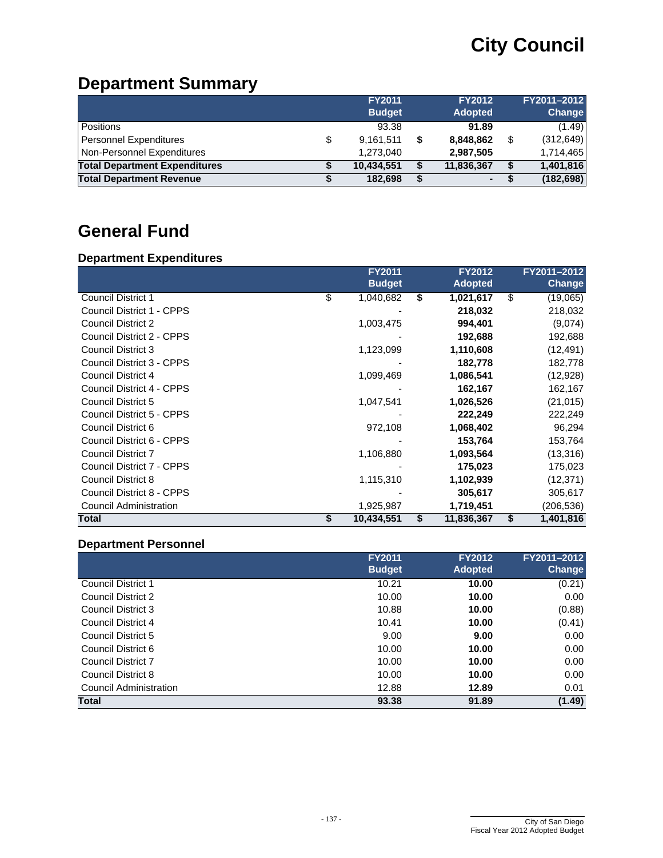# **Department Summary**

|                                      | <b>FY2011</b>   | <b>FY2012</b>   | FY2011-2012      |
|--------------------------------------|-----------------|-----------------|------------------|
|                                      | <b>Budget</b>   | <b>Adopted</b>  | Change           |
| <b>Positions</b>                     | 93.38           | 91.89           | (1.49)           |
| <b>Personnel Expenditures</b>        | \$<br>9,161,511 | \$<br>8,848,862 | \$<br>(312, 649) |
| Non-Personnel Expenditures           | 1,273,040       | 2,987,505       | 1,714,465        |
| <b>Total Department Expenditures</b> | 10.434.551      | 11,836,367      | 1,401,816        |
| <b>Total Department Revenue</b>      | 182,698         | $\sim$          | (182, 698)       |

# **General Fund**

## **Department Expenditures**

|                               | <b>FY2011</b>    | <b>FY2012</b>    | FY2011-2012     |
|-------------------------------|------------------|------------------|-----------------|
|                               | <b>Budget</b>    | <b>Adopted</b>   | <b>Change</b>   |
| <b>Council District 1</b>     | \$<br>1,040,682  | \$<br>1,021,617  | \$<br>(19,065)  |
| Council District 1 - CPPS     |                  | 218,032          | 218,032         |
| <b>Council District 2</b>     | 1,003,475        | 994,401          | (9,074)         |
| Council District 2 - CPPS     |                  | 192,688          | 192,688         |
| <b>Council District 3</b>     | 1,123,099        | 1,110,608        | (12, 491)       |
| Council District 3 - CPPS     |                  | 182,778          | 182,778         |
| Council District 4            | 1,099,469        | 1,086,541        | (12,928)        |
| Council District 4 - CPPS     |                  | 162,167          | 162,167         |
| Council District 5            | 1,047,541        | 1,026,526        | (21, 015)       |
| Council District 5 - CPPS     |                  | 222,249          | 222,249         |
| Council District 6            | 972,108          | 1,068,402        | 96,294          |
| Council District 6 - CPPS     |                  | 153,764          | 153,764         |
| <b>Council District 7</b>     | 1,106,880        | 1,093,564        | (13,316)        |
| Council District 7 - CPPS     |                  | 175,023          | 175,023         |
| <b>Council District 8</b>     | 1,115,310        | 1,102,939        | (12, 371)       |
| Council District 8 - CPPS     |                  | 305,617          | 305,617         |
| <b>Council Administration</b> | 1,925,987        | 1,719,451        | (206, 536)      |
| Total                         | \$<br>10,434,551 | \$<br>11,836,367 | \$<br>1,401,816 |

## **Department Personnel**

|                           | <b>FY2011</b> | <b>FY2012</b>  | FY2011-2012   |
|---------------------------|---------------|----------------|---------------|
|                           | <b>Budget</b> | <b>Adopted</b> | <b>Change</b> |
| <b>Council District 1</b> | 10.21         | 10.00          | (0.21)        |
| Council District 2        | 10.00         | 10.00          | 0.00          |
| Council District 3        | 10.88         | 10.00          | (0.88)        |
| Council District 4        | 10.41         | 10.00          | (0.41)        |
| Council District 5        | 9.00          | 9.00           | 0.00          |
| Council District 6        | 10.00         | 10.00          | 0.00          |
| Council District 7        | 10.00         | 10.00          | 0.00          |
| Council District 8        | 10.00         | 10.00          | 0.00          |
| Council Administration    | 12.88         | 12.89          | 0.01          |
| <b>Total</b>              | 93.38         | 91.89          | (1.49)        |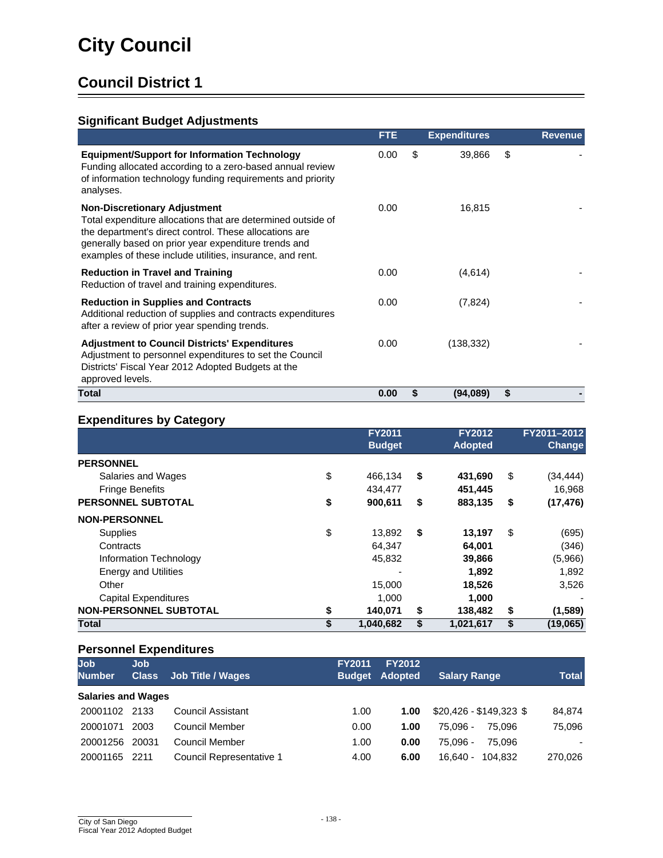## **Significant Budget Adjustments**

|                                                                                                                                                                                                                                                                                    | <b>FTE</b> | <b>Expenditures</b> | <b>Revenue</b> |
|------------------------------------------------------------------------------------------------------------------------------------------------------------------------------------------------------------------------------------------------------------------------------------|------------|---------------------|----------------|
| <b>Equipment/Support for Information Technology</b><br>Funding allocated according to a zero-based annual review<br>of information technology funding requirements and priority<br>analyses.                                                                                       | 0.00       | \$<br>39,866        | \$             |
| <b>Non-Discretionary Adjustment</b><br>Total expenditure allocations that are determined outside of<br>the department's direct control. These allocations are<br>generally based on prior year expenditure trends and<br>examples of these include utilities, insurance, and rent. | 0.00       | 16,815              |                |
| <b>Reduction in Travel and Training</b><br>Reduction of travel and training expenditures.                                                                                                                                                                                          | 0.00       | (4,614)             |                |
| <b>Reduction in Supplies and Contracts</b><br>Additional reduction of supplies and contracts expenditures<br>after a review of prior year spending trends.                                                                                                                         | 0.00       | (7, 824)            |                |
| <b>Adjustment to Council Districts' Expenditures</b><br>Adjustment to personnel expenditures to set the Council<br>Districts' Fiscal Year 2012 Adopted Budgets at the<br>approved levels.                                                                                          | 0.00       | (138, 332)          |                |
| Total                                                                                                                                                                                                                                                                              | 0.00       | \$<br>(94,089)      | \$             |

#### **Expenditures by Category**

| .                             | <b>FY2011</b><br><b>Budget</b> | <b>FY2012</b><br><b>Adopted</b> | FY2011-2012<br><b>Change</b> |
|-------------------------------|--------------------------------|---------------------------------|------------------------------|
| <b>PERSONNEL</b>              |                                |                                 |                              |
| Salaries and Wages            | \$<br>466,134                  | \$<br>431,690                   | \$<br>(34, 444)              |
| <b>Fringe Benefits</b>        | 434.477                        | 451,445                         | 16,968                       |
| PERSONNEL SUBTOTAL            | \$<br>900,611                  | \$<br>883,135                   | \$<br>(17, 476)              |
| <b>NON-PERSONNEL</b>          |                                |                                 |                              |
| <b>Supplies</b>               | \$<br>13,892                   | \$<br>13,197                    | \$<br>(695)                  |
| Contracts                     | 64.347                         | 64,001                          | (346)                        |
| Information Technology        | 45,832                         | 39,866                          | (5,966)                      |
| <b>Energy and Utilities</b>   |                                | 1,892                           | 1,892                        |
| Other                         | 15,000                         | 18,526                          | 3,526                        |
| <b>Capital Expenditures</b>   | 1,000                          | 1,000                           |                              |
| <b>NON-PERSONNEL SUBTOTAL</b> | \$<br>140,071                  | \$<br>138,482                   | \$<br>(1,589)                |
| Total                         | \$<br>1,040,682                | \$<br>1,021,617                 | \$<br>(19,065)               |

| <b>Job</b><br><b>Number</b> | <b>Job</b><br><b>Class</b> | <b>Job Title / Wages</b> | <b>FY2011</b> | <b>FY2012</b><br><b>Budget Adopted</b> | <b>Salary Range</b>     | <b>Total</b> |
|-----------------------------|----------------------------|--------------------------|---------------|----------------------------------------|-------------------------|--------------|
| <b>Salaries and Wages</b>   |                            |                          |               |                                        |                         |              |
| 20001102                    | 2133                       | <b>Council Assistant</b> | 1.00          | 1.00                                   | $$20.426 - $149.323$ \$ | 84,874       |
| 20001071                    | 2003                       | Council Member           | 0.00          | 1.00                                   | 75.096 -<br>75.096      | 75,096       |
| 20001256                    | 20031                      | Council Member           | 1.00          | 0.00                                   | 75.096 -<br>75.096      |              |
| 20001165                    | 2211                       | Council Representative 1 | 4.00          | 6.00                                   | 104.832<br>16.640 -     | 270,026      |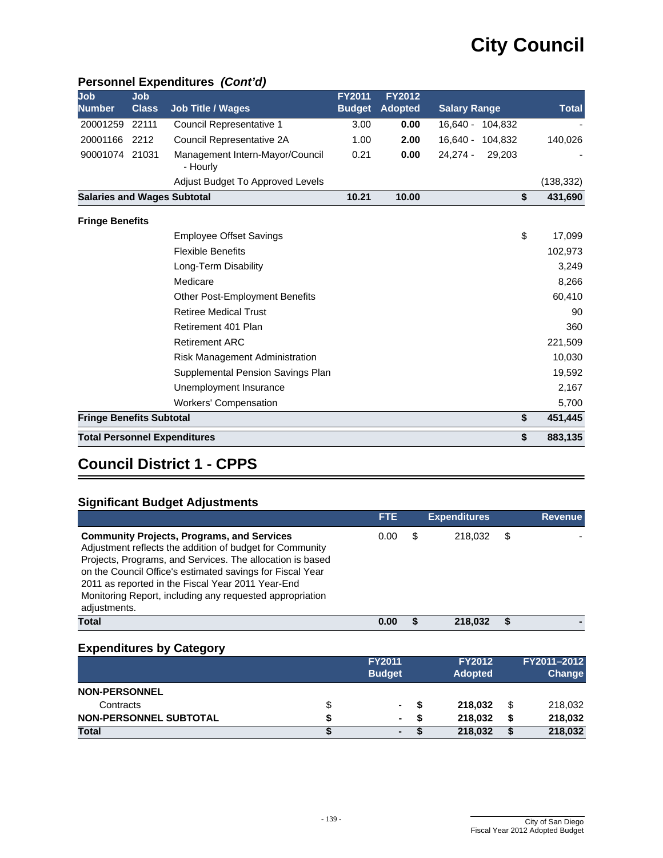| Job                                | <b>Job</b>   |                                             | <b>FY2011</b> | <b>FY2012</b>  |                      |              |
|------------------------------------|--------------|---------------------------------------------|---------------|----------------|----------------------|--------------|
| <b>Number</b>                      | <b>Class</b> | <b>Job Title / Wages</b>                    | <b>Budget</b> | <b>Adopted</b> | <b>Salary Range</b>  | <b>Total</b> |
| 20001259                           | 22111        | Council Representative 1                    | 3.00          | 0.00           | 16,640 - 104,832     |              |
| 20001166                           | 2212         | Council Representative 2A                   | 1.00          | 2.00           | 16,640 - 104,832     | 140,026      |
| 90001074 21031                     |              | Management Intern-Mayor/Council<br>- Hourly | 0.21          | 0.00           | $24,274 -$<br>29.203 |              |
|                                    |              | Adjust Budget To Approved Levels            |               |                |                      | (138, 332)   |
| <b>Salaries and Wages Subtotal</b> |              |                                             | 10.21         | 10.00          | \$                   | 431,690      |
| <b>Fringe Benefits</b>             |              |                                             |               |                |                      |              |
|                                    |              | <b>Employee Offset Savings</b>              |               |                | \$                   | 17,099       |
|                                    |              | <b>Flexible Benefits</b>                    |               |                |                      | 102,973      |
|                                    |              | Long-Term Disability                        |               |                |                      | 3,249        |
|                                    |              | Medicare                                    |               |                |                      | 8,266        |
|                                    |              | <b>Other Post-Employment Benefits</b>       |               |                |                      | 60,410       |
|                                    |              | <b>Retiree Medical Trust</b>                |               |                |                      | 90           |
|                                    |              | Retirement 401 Plan                         |               |                |                      | 360          |
|                                    |              | <b>Retirement ARC</b>                       |               |                |                      | 221,509      |
|                                    |              | Risk Management Administration              |               |                |                      | 10,030       |
|                                    |              | Supplemental Pension Savings Plan           |               |                |                      | 19,592       |
|                                    |              | Unemployment Insurance                      |               |                |                      | 2,167        |
|                                    |              | <b>Workers' Compensation</b>                |               |                |                      | 5,700        |
| <b>Fringe Benefits Subtotal</b>    |              |                                             |               |                | \$                   | 451,445      |
|                                    |              | <b>Total Personnel Expenditures</b>         |               |                | \$                   | 883,135      |

#### **Personnel Expenditures** *(Cont'd)*

# **Council District 1 - CPPS**

## **Significant Budget Adjustments**

|                                                                                                                                                                                                                                                                                                                                                                          | <b>FTE</b> |   | <b>Expenditures</b> | <b>Revenue</b> |
|--------------------------------------------------------------------------------------------------------------------------------------------------------------------------------------------------------------------------------------------------------------------------------------------------------------------------------------------------------------------------|------------|---|---------------------|----------------|
| <b>Community Projects, Programs, and Services</b><br>Adjustment reflects the addition of budget for Community<br>Projects, Programs, and Services. The allocation is based<br>on the Council Office's estimated savings for Fiscal Year<br>2011 as reported in the Fiscal Year 2011 Year-End<br>Monitoring Report, including any requested appropriation<br>adjustments. | 0.00       | S | 218.032             |                |
| <b>Total</b>                                                                                                                                                                                                                                                                                                                                                             | 0.00       |   | 218.032             |                |

|                               |   | <b>FY2011</b><br><b>Budget</b> |   | <b>FY2012</b><br><b>Adopted</b> |    | FY2011-2012<br>Change |
|-------------------------------|---|--------------------------------|---|---------------------------------|----|-----------------------|
| <b>NON-PERSONNEL</b>          |   |                                |   |                                 |    |                       |
| Contracts                     | S | ۰                              | S | 218.032                         | \$ | 218,032               |
| <b>NON-PERSONNEL SUBTOTAL</b> |   | ٠                              | S | 218,032                         | S  | 218,032               |
| Total                         |   | ۰                              |   | 218,032                         |    | 218,032               |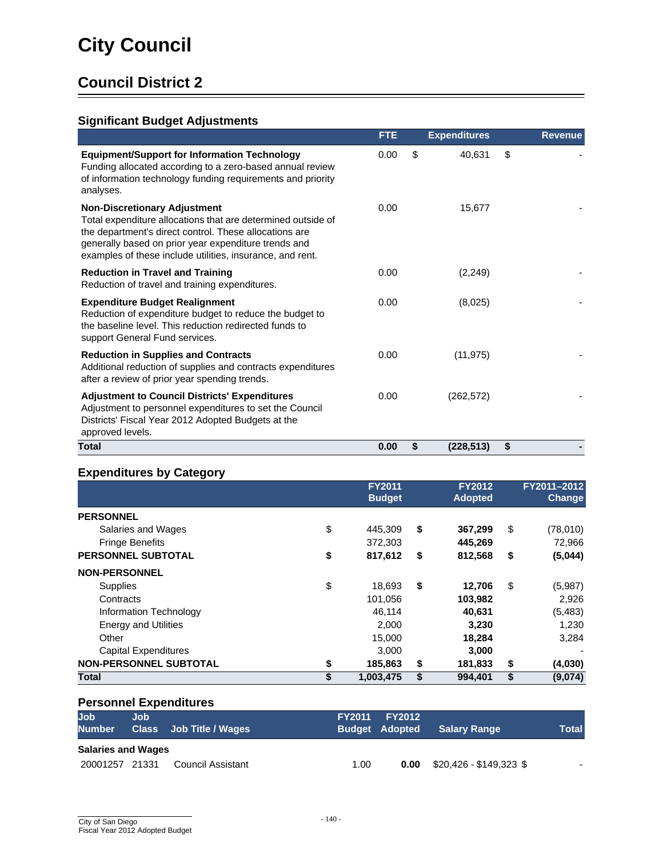## **Significant Budget Adjustments**

|                                                                                                                                                                                                                                                                                    | <b>FTE</b> | <b>Expenditures</b> | <b>Revenue</b> |
|------------------------------------------------------------------------------------------------------------------------------------------------------------------------------------------------------------------------------------------------------------------------------------|------------|---------------------|----------------|
| <b>Equipment/Support for Information Technology</b><br>Funding allocated according to a zero-based annual review<br>of information technology funding requirements and priority<br>analyses.                                                                                       | 0.00       | \$<br>40,631        | \$             |
| <b>Non-Discretionary Adjustment</b><br>Total expenditure allocations that are determined outside of<br>the department's direct control. These allocations are<br>generally based on prior year expenditure trends and<br>examples of these include utilities, insurance, and rent. | 0.00       | 15,677              |                |
| <b>Reduction in Travel and Training</b><br>Reduction of travel and training expenditures.                                                                                                                                                                                          | 0.00       | (2, 249)            |                |
| <b>Expenditure Budget Realignment</b><br>Reduction of expenditure budget to reduce the budget to<br>the baseline level. This reduction redirected funds to<br>support General Fund services.                                                                                       | 0.00       | (8,025)             |                |
| <b>Reduction in Supplies and Contracts</b><br>Additional reduction of supplies and contracts expenditures<br>after a review of prior year spending trends.                                                                                                                         | 0.00       | (11, 975)           |                |
| <b>Adjustment to Council Districts' Expenditures</b><br>Adjustment to personnel expenditures to set the Council<br>Districts' Fiscal Year 2012 Adopted Budgets at the<br>approved levels.                                                                                          | 0.00       | (262, 572)          |                |
| Total                                                                                                                                                                                                                                                                              | 0.00       | \$<br>(228, 513)    | \$             |

## **Expenditures by Category**

|                               | <b>FY2011</b><br><b>Budget</b> | <b>FY2012</b><br><b>Adopted</b> | FY2011-2012<br><b>Change</b> |
|-------------------------------|--------------------------------|---------------------------------|------------------------------|
| <b>PERSONNEL</b>              |                                |                                 |                              |
| Salaries and Wages            | \$<br>445.309                  | \$<br>367,299                   | \$<br>(78,010)               |
| <b>Fringe Benefits</b>        | 372,303                        | 445,269                         | 72,966                       |
| PERSONNEL SUBTOTAL            | \$<br>817,612                  | \$<br>812,568                   | \$<br>(5,044)                |
| <b>NON-PERSONNEL</b>          |                                |                                 |                              |
| <b>Supplies</b>               | \$<br>18,693                   | \$<br>12.706                    | \$<br>(5,987)                |
| Contracts                     | 101,056                        | 103,982                         | 2,926                        |
| Information Technology        | 46.114                         | 40,631                          | (5, 483)                     |
| <b>Energy and Utilities</b>   | 2,000                          | 3.230                           | 1,230                        |
| Other                         | 15,000                         | 18,284                          | 3,284                        |
| <b>Capital Expenditures</b>   | 3,000                          | 3,000                           |                              |
| <b>NON-PERSONNEL SUBTOTAL</b> | \$<br>185,863                  | \$<br>181,833                   | \$<br>(4,030)                |
| <b>Total</b>                  | \$<br>1,003,475                | \$<br>994,401                   | \$<br>(9,074)                |

| <b>Job</b><br><b>Number</b> | Job | Class Job Title / Wages | <b>FY2011</b> | <b>FY2012</b><br><b>Budget Adopted</b> | <b>Salary Range</b>     | <b>Total</b> |
|-----------------------------|-----|-------------------------|---------------|----------------------------------------|-------------------------|--------------|
| <b>Salaries and Wages</b>   |     |                         |               |                                        |                         |              |
| 20001257 21331              |     | Council Assistant       | 1.00          | 0.00                                   | \$20,426 - \$149,323 \$ | -            |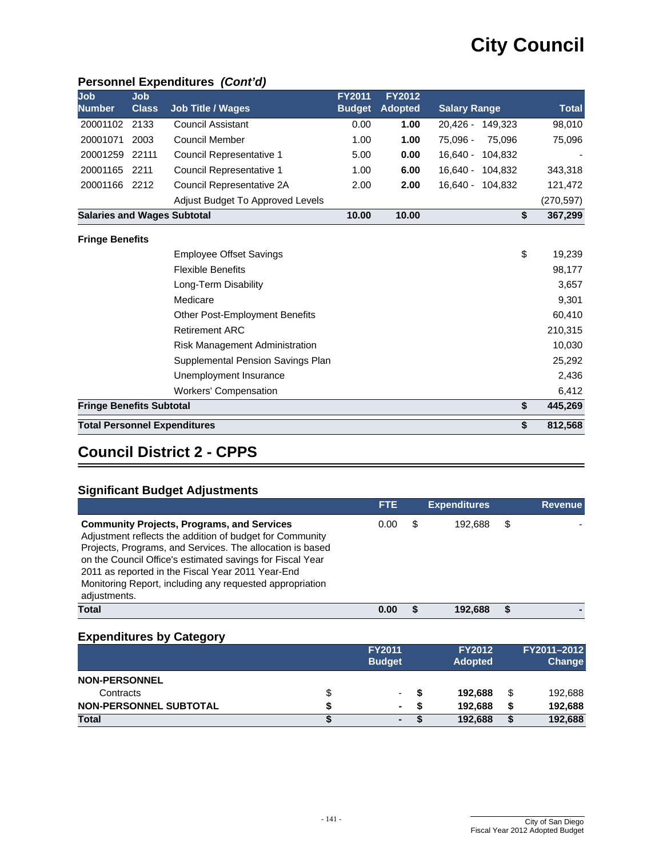## **Personnel Expenditures** *(Cont'd)*

| Job<br><b>Number</b>               | <b>Job</b><br><b>Class</b> | <b>Job Title / Wages</b>              | <b>FY2011</b><br><b>Budget</b> | <b>FY2012</b><br><b>Adopted</b> | <b>Salary Range</b>   | <b>Total</b> |
|------------------------------------|----------------------------|---------------------------------------|--------------------------------|---------------------------------|-----------------------|--------------|
| 20001102                           | 2133                       | <b>Council Assistant</b>              | 0.00                           | 1.00                            | 20,426 - 149,323      | 98,010       |
| 20001071                           | 2003                       | <b>Council Member</b>                 | 1.00                           | 1.00                            | 75,096 -<br>75,096    | 75,096       |
| 20001259                           | 22111                      | Council Representative 1              | 5.00                           | 0.00                            | $16.640 -$<br>104,832 |              |
| 20001165                           | 2211                       | Council Representative 1              | 1.00                           | 6.00                            | $16,640 -$<br>104,832 | 343,318      |
| 20001166                           | 2212                       | Council Representative 2A             | 2.00                           | 2.00                            | $16.640 -$<br>104.832 | 121,472      |
|                                    |                            | Adjust Budget To Approved Levels      |                                |                                 |                       | (270, 597)   |
| <b>Salaries and Wages Subtotal</b> |                            |                                       | 10.00                          | 10.00                           | \$                    | 367,299      |
| <b>Fringe Benefits</b>             |                            |                                       |                                |                                 |                       |              |
|                                    |                            | <b>Employee Offset Savings</b>        |                                |                                 | \$                    | 19,239       |
|                                    |                            | <b>Flexible Benefits</b>              |                                |                                 |                       | 98,177       |
|                                    |                            | Long-Term Disability                  |                                |                                 |                       | 3,657        |
|                                    |                            | Medicare                              |                                |                                 |                       | 9,301        |
|                                    |                            | <b>Other Post-Employment Benefits</b> |                                |                                 |                       | 60,410       |
|                                    |                            | <b>Retirement ARC</b>                 |                                |                                 |                       | 210,315      |
|                                    |                            | Risk Management Administration        |                                |                                 |                       | 10,030       |
|                                    |                            | Supplemental Pension Savings Plan     |                                |                                 |                       | 25,292       |
|                                    |                            | Unemployment Insurance                |                                |                                 |                       | 2,436        |
|                                    |                            | <b>Workers' Compensation</b>          |                                |                                 |                       | 6,412        |
| <b>Fringe Benefits Subtotal</b>    |                            |                                       |                                |                                 | \$                    | 445,269      |
|                                    |                            | <b>Total Personnel Expenditures</b>   |                                |                                 | \$                    | 812,568      |

## **Council District 2 - CPPS**

#### **Significant Budget Adjustments**

|                                                                                                                                                                                                                                                                                                                                                                          | <b>FTE</b> |   | <b>Expenditures</b> |   | <b>Revenue</b> |
|--------------------------------------------------------------------------------------------------------------------------------------------------------------------------------------------------------------------------------------------------------------------------------------------------------------------------------------------------------------------------|------------|---|---------------------|---|----------------|
| <b>Community Projects, Programs, and Services</b><br>Adjustment reflects the addition of budget for Community<br>Projects, Programs, and Services. The allocation is based<br>on the Council Office's estimated savings for Fiscal Year<br>2011 as reported in the Fiscal Year 2011 Year-End<br>Monitoring Report, including any requested appropriation<br>adjustments. | 0.00       | S | 192.688             | S |                |
| Total                                                                                                                                                                                                                                                                                                                                                                    | 0.00       |   | 192.688             |   |                |

|                               |   | <b>FY2011</b><br><b>Budget</b> | <b>FY2012</b><br><b>Adopted</b> |   | FY2011-2012<br><b>Change</b> |
|-------------------------------|---|--------------------------------|---------------------------------|---|------------------------------|
| <b>NON-PERSONNEL</b>          |   |                                |                                 |   |                              |
| Contracts                     | ъ | ۰                              | 192.688                         | S | 192,688                      |
| <b>NON-PERSONNEL SUBTOTAL</b> |   |                                | 192.688                         |   | 192,688                      |
| Total                         |   | ۰                              | 192,688                         | S | 192,688                      |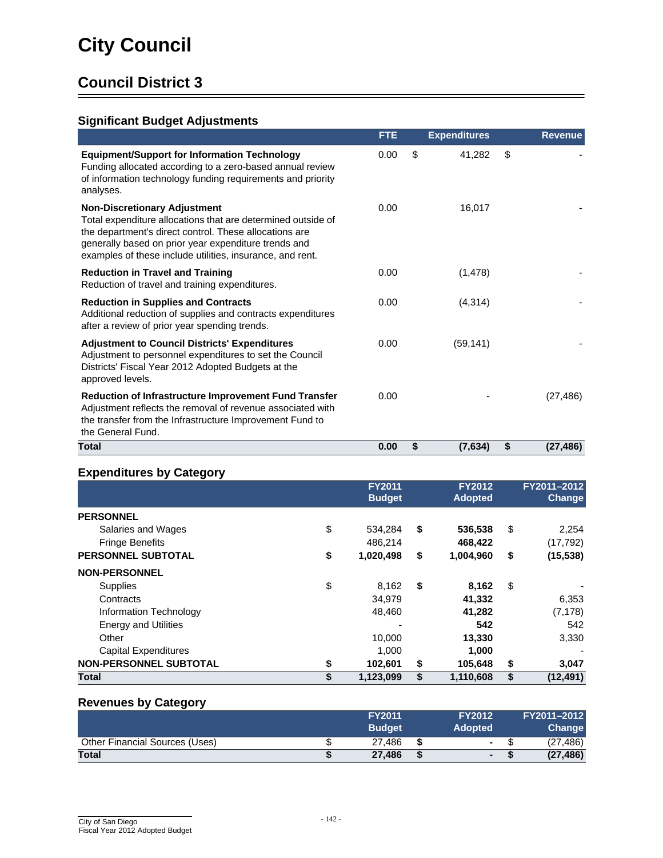## **Significant Budget Adjustments**

|                                                                                                                                                                                                                                                                                    | <b>FTE</b> | <b>Expenditures</b> |    | <b>Revenue</b> |
|------------------------------------------------------------------------------------------------------------------------------------------------------------------------------------------------------------------------------------------------------------------------------------|------------|---------------------|----|----------------|
| <b>Equipment/Support for Information Technology</b><br>Funding allocated according to a zero-based annual review<br>of information technology funding requirements and priority<br>analyses.                                                                                       | 0.00       | \$<br>41,282        | \$ |                |
| <b>Non-Discretionary Adjustment</b><br>Total expenditure allocations that are determined outside of<br>the department's direct control. These allocations are<br>generally based on prior year expenditure trends and<br>examples of these include utilities, insurance, and rent. | 0.00       | 16,017              |    |                |
| <b>Reduction in Travel and Training</b><br>Reduction of travel and training expenditures.                                                                                                                                                                                          | 0.00       | (1, 478)            |    |                |
| <b>Reduction in Supplies and Contracts</b><br>Additional reduction of supplies and contracts expenditures<br>after a review of prior year spending trends.                                                                                                                         | 0.00       | (4, 314)            |    |                |
| <b>Adjustment to Council Districts' Expenditures</b><br>Adjustment to personnel expenditures to set the Council<br>Districts' Fiscal Year 2012 Adopted Budgets at the<br>approved levels.                                                                                          | 0.00       | (59, 141)           |    |                |
| <b>Reduction of Infrastructure Improvement Fund Transfer</b><br>Adjustment reflects the removal of revenue associated with<br>the transfer from the Infrastructure Improvement Fund to<br>the General Fund.                                                                        | 0.00       |                     |    | (27, 486)      |
| Total                                                                                                                                                                                                                                                                              | 0.00       | \$<br>(7, 634)      | S  | (27, 486)      |

## **Expenditures by Category**

|                               | <b>FY2011</b><br><b>Budget</b> | <b>FY2012</b><br><b>Adopted</b> | FY2011-2012<br><b>Change</b> |
|-------------------------------|--------------------------------|---------------------------------|------------------------------|
| <b>PERSONNEL</b>              |                                |                                 |                              |
| Salaries and Wages            | \$<br>534,284                  | \$<br>536,538                   | \$<br>2,254                  |
| <b>Fringe Benefits</b>        | 486.214                        | 468,422                         | (17, 792)                    |
| <b>PERSONNEL SUBTOTAL</b>     | \$<br>1,020,498                | \$<br>1,004,960                 | \$<br>(15, 538)              |
| <b>NON-PERSONNEL</b>          |                                |                                 |                              |
| <b>Supplies</b>               | \$<br>8,162                    | \$<br>8,162                     | \$                           |
| Contracts                     | 34,979                         | 41,332                          | 6,353                        |
| Information Technology        | 48.460                         | 41,282                          | (7, 178)                     |
| <b>Energy and Utilities</b>   |                                | 542                             | 542                          |
| Other                         | 10,000                         | 13,330                          | 3,330                        |
| <b>Capital Expenditures</b>   | 1.000                          | 1.000                           |                              |
| <b>NON-PERSONNEL SUBTOTAL</b> | \$<br>102,601                  | \$<br>105,648                   | \$<br>3,047                  |
| <b>Total</b>                  | 1,123,099                      | \$<br>1,110,608                 | \$<br>(12, 491)              |

#### **Revenues by Category**

|                                | <b>FY2011</b><br><b>Budget</b> | <b>FY2012</b><br><b>Adopted</b> | FY2011-2012<br><b>Change</b> |
|--------------------------------|--------------------------------|---------------------------------|------------------------------|
| Other Financial Sources (Uses) | 27.486                         | $\sim$                          | (27, 486)                    |
| <b>Total</b>                   | 27.486                         | ٠                               | (27, 486)                    |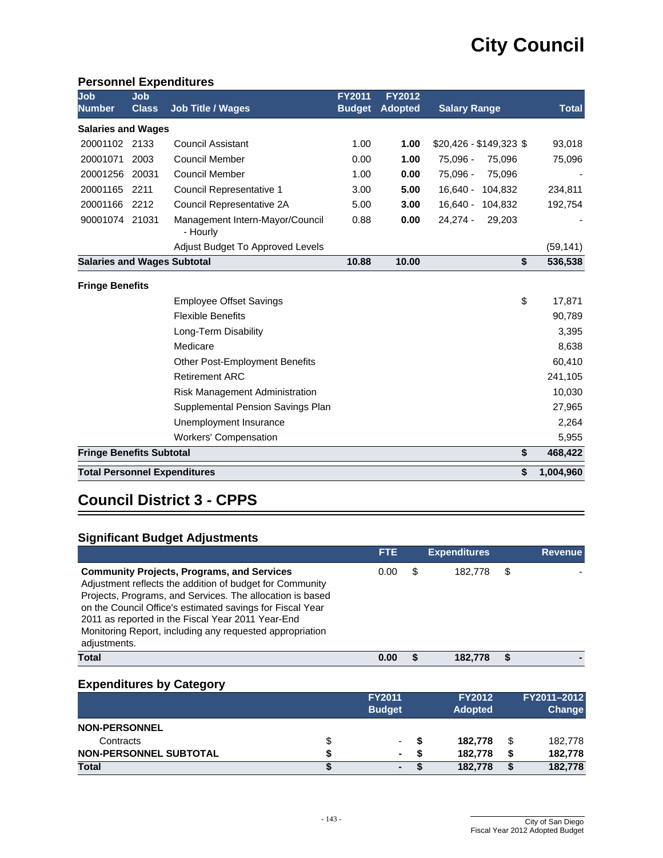#### **Personnel Expenditures**

| Job<br><b>Number</b>               | Job<br><b>Class</b> | <b>Job Title / Wages</b>                    | <b>FY2011</b><br><b>Budget</b> | <b>FY2012</b><br><b>Adopted</b> | <b>Salary Range</b>     | <b>Total</b> |
|------------------------------------|---------------------|---------------------------------------------|--------------------------------|---------------------------------|-------------------------|--------------|
| <b>Salaries and Wages</b>          |                     |                                             |                                |                                 |                         |              |
| 20001102                           | 2133                | <b>Council Assistant</b>                    | 1.00                           | 1.00                            | $$20,426 - $149,323$ \$ | 93,018       |
| 20001071                           | 2003                | <b>Council Member</b>                       | 0.00                           | 1.00                            | 75,096 -<br>75,096      | 75,096       |
| 20001256                           | 20031               | Council Member                              | 1.00                           | 0.00                            | 75,096 -<br>75,096      |              |
| 20001165                           | 2211                | Council Representative 1                    | 3.00                           | 5.00                            | $16,640 -$<br>104,832   | 234,811      |
| 20001166                           | 2212                | Council Representative 2A                   | 5.00                           | 3.00                            | $16,640 -$<br>104,832   | 192,754      |
| 90001074 21031                     |                     | Management Intern-Mayor/Council<br>- Hourly | 0.88                           | 0.00                            | $24,274 -$<br>29,203    |              |
|                                    |                     | Adjust Budget To Approved Levels            |                                |                                 |                         | (59, 141)    |
| <b>Salaries and Wages Subtotal</b> |                     |                                             | 10.88                          | 10.00                           | \$                      | 536,538      |
| <b>Fringe Benefits</b>             |                     |                                             |                                |                                 |                         |              |
|                                    |                     | <b>Employee Offset Savings</b>              |                                |                                 | \$                      | 17,871       |
|                                    |                     | <b>Flexible Benefits</b>                    |                                |                                 |                         | 90,789       |
|                                    |                     | Long-Term Disability                        |                                |                                 |                         | 3,395        |
|                                    |                     | Medicare                                    |                                |                                 |                         | 8,638        |
|                                    |                     | Other Post-Employment Benefits              |                                |                                 |                         | 60,410       |
|                                    |                     | <b>Retirement ARC</b>                       |                                |                                 |                         | 241,105      |
|                                    |                     | Risk Management Administration              |                                |                                 |                         | 10,030       |
|                                    |                     | Supplemental Pension Savings Plan           |                                |                                 |                         | 27,965       |
|                                    |                     | Unemployment Insurance                      |                                |                                 |                         | 2,264        |
|                                    |                     | <b>Workers' Compensation</b>                |                                |                                 |                         | 5,955        |
| <b>Fringe Benefits Subtotal</b>    |                     |                                             |                                |                                 | \$                      | 468,422      |
|                                    |                     | <b>Total Personnel Expenditures</b>         |                                |                                 | \$                      | 1,004,960    |

# **Council District 3 - CPPS**

## **Significant Budget Adjustments**

|                                                                                                                                                                                                                                                                                                                                                                          | <b>FTE</b> | <b>Expenditures</b> |   | <b>Revenue</b> |
|--------------------------------------------------------------------------------------------------------------------------------------------------------------------------------------------------------------------------------------------------------------------------------------------------------------------------------------------------------------------------|------------|---------------------|---|----------------|
| <b>Community Projects, Programs, and Services</b><br>Adjustment reflects the addition of budget for Community<br>Projects, Programs, and Services. The allocation is based<br>on the Council Office's estimated savings for Fiscal Year<br>2011 as reported in the Fiscal Year 2011 Year-End<br>Monitoring Report, including any requested appropriation<br>adjustments. | 0.00       | 182.778             | S |                |
| <b>Total</b>                                                                                                                                                                                                                                                                                                                                                             | 0.00       | 182.778             |   |                |

| -                      | <b>FY2011</b><br><b>Budget</b> | <b>FY2012</b><br><b>Adopted</b> |   | FY2011-2012<br><b>Change</b> |
|------------------------|--------------------------------|---------------------------------|---|------------------------------|
| <b>NON-PERSONNEL</b>   |                                |                                 |   |                              |
| Contracts              | ۰                              | 182.778                         | S | 182,778                      |
| NON-PERSONNEL SUBTOTAL | ٠                              | 182.778                         | S | 182,778                      |
| <b>Total</b>           | ۰                              | 182.778                         |   | 182,778                      |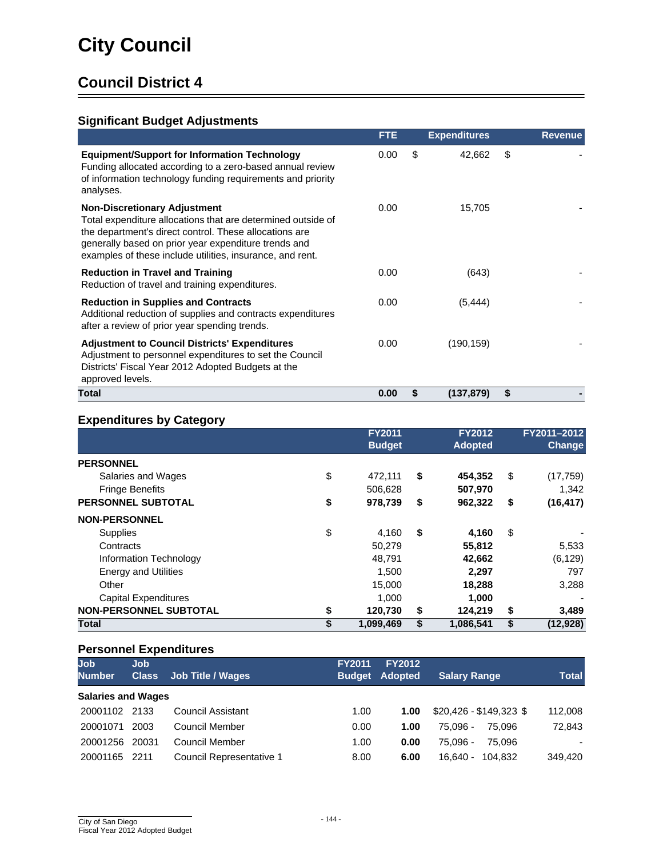## **Significant Budget Adjustments**

|                                                                                                                                                                                                                                                                                    | <b>FTE</b> |    | <b>Expenditures</b> | <b>Revenue</b> |
|------------------------------------------------------------------------------------------------------------------------------------------------------------------------------------------------------------------------------------------------------------------------------------|------------|----|---------------------|----------------|
| <b>Equipment/Support for Information Technology</b><br>Funding allocated according to a zero-based annual review<br>of information technology funding requirements and priority<br>analyses.                                                                                       | 0.00       | \$ | 42,662              | \$             |
| <b>Non-Discretionary Adjustment</b><br>Total expenditure allocations that are determined outside of<br>the department's direct control. These allocations are<br>generally based on prior year expenditure trends and<br>examples of these include utilities, insurance, and rent. | 0.00       |    | 15,705              |                |
| <b>Reduction in Travel and Training</b><br>Reduction of travel and training expenditures.                                                                                                                                                                                          | 0.00       |    | (643)               |                |
| <b>Reduction in Supplies and Contracts</b><br>Additional reduction of supplies and contracts expenditures<br>after a review of prior year spending trends.                                                                                                                         | 0.00       |    | (5, 444)            |                |
| <b>Adjustment to Council Districts' Expenditures</b><br>Adjustment to personnel expenditures to set the Council<br>Districts' Fiscal Year 2012 Adopted Budgets at the<br>approved levels.                                                                                          | 0.00       |    | (190, 159)          |                |
| Total                                                                                                                                                                                                                                                                              | 0.00       | S  | (137, 879)          | \$             |

#### **Expenditures by Category**

| $\sim$                        | <b>FY2011</b><br><b>Budget</b> | <b>FY2012</b><br><b>Adopted</b> | FY2011-2012<br><b>Change</b> |
|-------------------------------|--------------------------------|---------------------------------|------------------------------|
| <b>PERSONNEL</b>              |                                |                                 |                              |
| Salaries and Wages            | \$<br>472,111                  | \$<br>454,352                   | \$<br>(17, 759)              |
| <b>Fringe Benefits</b>        | 506,628                        | 507,970                         | 1,342                        |
| <b>PERSONNEL SUBTOTAL</b>     | \$<br>978,739                  | \$<br>962,322                   | \$<br>(16, 417)              |
| <b>NON-PERSONNEL</b>          |                                |                                 |                              |
| <b>Supplies</b>               | \$<br>4,160                    | \$<br>4,160                     | \$                           |
| Contracts                     | 50,279                         | 55,812                          | 5,533                        |
| Information Technology        | 48.791                         | 42,662                          | (6, 129)                     |
| <b>Energy and Utilities</b>   | 1,500                          | 2,297                           | 797                          |
| Other                         | 15,000                         | 18,288                          | 3,288                        |
| <b>Capital Expenditures</b>   | 1,000                          | 1,000                           |                              |
| <b>NON-PERSONNEL SUBTOTAL</b> | \$<br>120,730                  | \$<br>124,219                   | \$<br>3,489                  |
| Total                         | \$<br>1,099,469                | \$<br>1,086,541                 | \$<br>(12, 928)              |

| <b>Job</b><br><b>Number</b> | Job.<br><b>Class</b> | <b>Job Title / Wages</b> | <b>FY2011</b><br><b>Budget</b> | <b>FY2012</b><br><b>Adopted</b> | <b>Salary Range</b>     | <b>Total</b> |
|-----------------------------|----------------------|--------------------------|--------------------------------|---------------------------------|-------------------------|--------------|
| <b>Salaries and Wages</b>   |                      |                          |                                |                                 |                         |              |
| 20001102 2133               |                      | <b>Council Assistant</b> | 1.00                           | 1.00                            | $$20,426 - $149,323$ \$ | 112,008      |
| 20001071                    | 2003                 | <b>Council Member</b>    | 0.00                           | 1.00                            | 75.096 -<br>75.096      | 72,843       |
| 20001256                    | 20031                | Council Member           | 1.00                           | 0.00                            | 75.096 -<br>75.096      | ۰.           |
| 20001165                    | 2211                 | Council Representative 1 | 8.00                           | 6.00                            | 104.832<br>16.640 -     | 349,420      |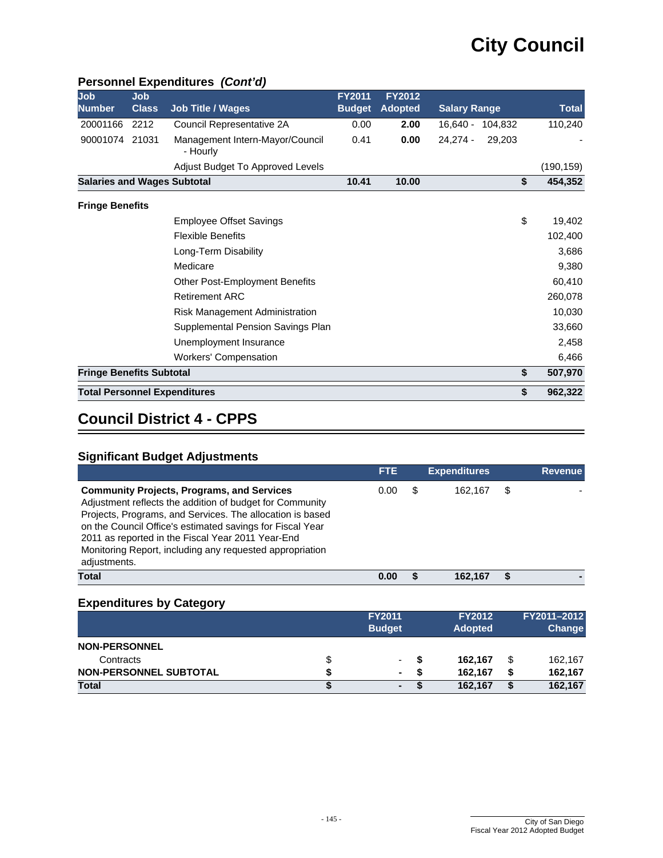| Personnel Expenditures (Cont'd) |  |
|---------------------------------|--|
|---------------------------------|--|

| Job<br><b>Number</b>               | <b>Job</b><br><b>Class</b> | <b>Job Title / Wages</b>                    | <b>FY2011</b><br><b>Budget</b> | <b>FY2012</b><br><b>Adopted</b> | <b>Salary Range</b>  | Total     |
|------------------------------------|----------------------------|---------------------------------------------|--------------------------------|---------------------------------|----------------------|-----------|
| 20001166                           | 2212                       | Council Representative 2A                   | 0.00                           | 2.00                            | 16.640 - 104.832     | 110,240   |
| 90001074                           | 21031                      | Management Intern-Mayor/Council<br>- Hourly | 0.41                           | 0.00                            | $24,274 -$<br>29,203 |           |
|                                    |                            | Adjust Budget To Approved Levels            |                                |                                 |                      | (190,159) |
| <b>Salaries and Wages Subtotal</b> |                            |                                             | 10.41                          | 10.00                           | \$                   | 454,352   |
| <b>Fringe Benefits</b>             |                            |                                             |                                |                                 |                      |           |
|                                    |                            | <b>Employee Offset Savings</b>              |                                |                                 | \$                   | 19,402    |
|                                    |                            | <b>Flexible Benefits</b>                    |                                |                                 |                      | 102,400   |
|                                    |                            | Long-Term Disability                        |                                |                                 |                      | 3,686     |
|                                    |                            | Medicare                                    |                                |                                 |                      | 9,380     |
|                                    |                            | <b>Other Post-Employment Benefits</b>       |                                |                                 |                      | 60,410    |
|                                    |                            | <b>Retirement ARC</b>                       |                                |                                 |                      | 260,078   |
|                                    |                            | Risk Management Administration              |                                |                                 |                      | 10,030    |
|                                    |                            | Supplemental Pension Savings Plan           |                                |                                 |                      | 33,660    |
|                                    |                            | Unemployment Insurance                      |                                |                                 |                      | 2,458     |
|                                    |                            | <b>Workers' Compensation</b>                |                                |                                 |                      | 6,466     |
| <b>Fringe Benefits Subtotal</b>    |                            |                                             |                                |                                 | \$                   | 507,970   |
|                                    |                            | <b>Total Personnel Expenditures</b>         |                                |                                 | \$                   | 962,322   |

## **Council District 4 - CPPS**

## **Significant Budget Adjustments**

|                                                                                                                                                                                                                                                                                                                                                                          | <b>FTE</b> | <b>Expenditures</b> |   | <b>Revenue</b> |
|--------------------------------------------------------------------------------------------------------------------------------------------------------------------------------------------------------------------------------------------------------------------------------------------------------------------------------------------------------------------------|------------|---------------------|---|----------------|
| <b>Community Projects, Programs, and Services</b><br>Adjustment reflects the addition of budget for Community<br>Projects, Programs, and Services. The allocation is based<br>on the Council Office's estimated savings for Fiscal Year<br>2011 as reported in the Fiscal Year 2011 Year-End<br>Monitoring Report, including any requested appropriation<br>adjustments. | 0.00       | 162.167             | S |                |
| <b>Total</b>                                                                                                                                                                                                                                                                                                                                                             | 0.00       | 162.167             |   |                |

|                               | <b>FY2011</b><br><b>Budget</b> |   | <b>FY2012</b><br><b>Adopted</b> |    | FY2011-2012<br><b>Change</b> |
|-------------------------------|--------------------------------|---|---------------------------------|----|------------------------------|
| <b>NON-PERSONNEL</b>          |                                |   |                                 |    |                              |
| Contracts                     | ۰                              |   | 162.167                         | \$ | 162.167                      |
| <b>NON-PERSONNEL SUBTOTAL</b> | $\blacksquare$                 | S | 162.167                         | S  | 162.167                      |
| <b>Total</b>                  | ۰                              |   | 162.167                         | S  | 162,167                      |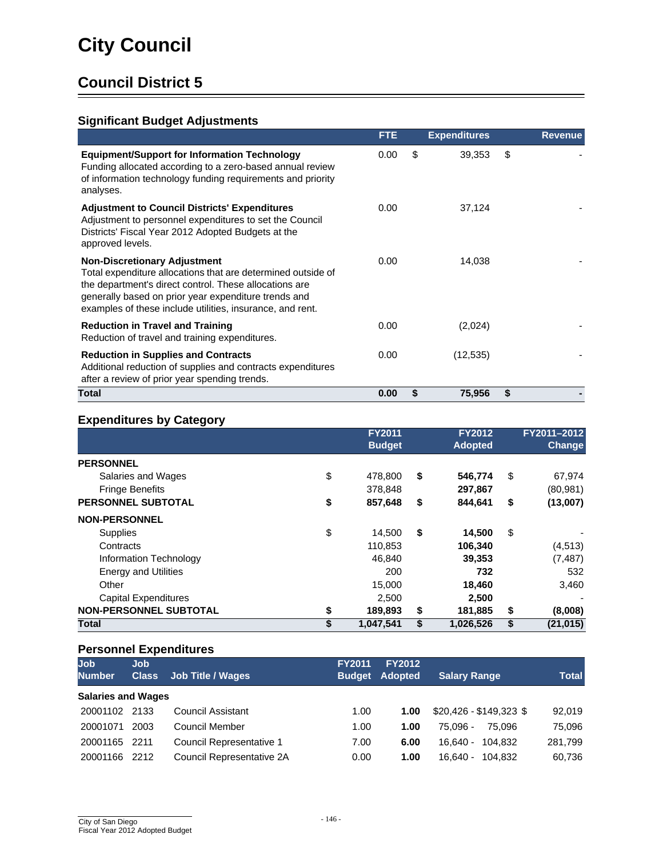## **Significant Budget Adjustments**

|                                                                                                                                                                                                                                                                                    | <b>FTE</b> | <b>Expenditures</b> | <b>Revenue</b> |
|------------------------------------------------------------------------------------------------------------------------------------------------------------------------------------------------------------------------------------------------------------------------------------|------------|---------------------|----------------|
| <b>Equipment/Support for Information Technology</b><br>Funding allocated according to a zero-based annual review<br>of information technology funding requirements and priority<br>analyses.                                                                                       | 0.00       | \$<br>39,353        | \$             |
| <b>Adjustment to Council Districts' Expenditures</b><br>Adjustment to personnel expenditures to set the Council<br>Districts' Fiscal Year 2012 Adopted Budgets at the<br>approved levels.                                                                                          | 0.00       | 37,124              |                |
| <b>Non-Discretionary Adjustment</b><br>Total expenditure allocations that are determined outside of<br>the department's direct control. These allocations are<br>generally based on prior year expenditure trends and<br>examples of these include utilities, insurance, and rent. | 0.00       | 14,038              |                |
| <b>Reduction in Travel and Training</b><br>Reduction of travel and training expenditures.                                                                                                                                                                                          | 0.00       | (2,024)             |                |
| <b>Reduction in Supplies and Contracts</b><br>Additional reduction of supplies and contracts expenditures<br>after a review of prior year spending trends.                                                                                                                         | 0.00       | (12, 535)           |                |
| Total                                                                                                                                                                                                                                                                              | 0.00       | \$<br>75,956        | \$             |

#### **Expenditures by Category**

| .                             | <b>FY2011</b><br><b>Budget</b> | <b>FY2012</b><br><b>Adopted</b> |     | FY2011-2012<br><b>Change</b> |
|-------------------------------|--------------------------------|---------------------------------|-----|------------------------------|
| <b>PERSONNEL</b>              |                                |                                 |     |                              |
| Salaries and Wages            | \$<br>478.800                  | \$<br>546.774                   | \$  | 67,974                       |
| <b>Fringe Benefits</b>        | 378.848                        | 297,867                         |     | (80, 981)                    |
| <b>PERSONNEL SUBTOTAL</b>     | \$<br>857,648                  | \$<br>844.641                   | \$  | (13,007)                     |
| <b>NON-PERSONNEL</b>          |                                |                                 |     |                              |
| <b>Supplies</b>               | \$<br>14,500                   | \$<br>14,500                    | -\$ |                              |
| Contracts                     | 110,853                        | 106,340                         |     | (4, 513)                     |
| Information Technology        | 46,840                         | 39,353                          |     | (7, 487)                     |
| <b>Energy and Utilities</b>   | 200                            | 732                             |     | 532                          |
| Other                         | 15,000                         | 18,460                          |     | 3,460                        |
| <b>Capital Expenditures</b>   | 2,500                          | 2,500                           |     |                              |
| <b>NON-PERSONNEL SUBTOTAL</b> | \$<br>189,893                  | \$<br>181,885                   | \$  | (8,008)                      |
| Total                         | \$<br>1,047,541                | \$<br>1,026,526                 | \$  | (21, 015)                    |

| <b>Job</b><br><b>Number</b> | Job.<br><b>Class</b> | <b>Job Title / Wages</b>  | <b>FY2011</b><br><b>Budget</b> | <b>FY2012</b><br><b>Adopted</b> | <b>Salary Range</b>     | <b>Total</b> |
|-----------------------------|----------------------|---------------------------|--------------------------------|---------------------------------|-------------------------|--------------|
| <b>Salaries and Wages</b>   |                      |                           |                                |                                 |                         |              |
| 20001102 2133               |                      | Council Assistant         | 1.00                           | 1.00                            | $$20,426 - $149,323$ \$ | 92,019       |
| 20001071                    | 2003                 | <b>Council Member</b>     | 1.00                           | 1.00                            | 75.096 -<br>75.096      | 75,096       |
| 20001165                    | 2211                 | Council Representative 1  | 7.00                           | 6.00                            | 16.640 - 104.832        | 281,799      |
| 20001166                    | 2212                 | Council Representative 2A | 0.00                           | 1.00                            | 16.640 - 104.832        | 60,736       |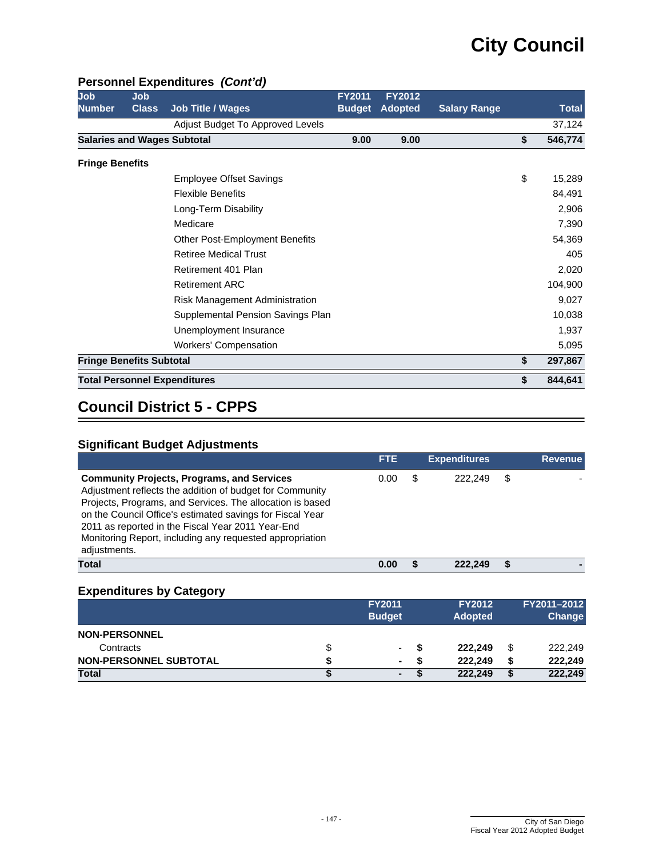#### **Personnel Expenditures** *(Cont'd)*

| Job                                | Job          |                                       | FY2011        | <b>FY2012</b>  |                     |               |
|------------------------------------|--------------|---------------------------------------|---------------|----------------|---------------------|---------------|
| <b>Number</b>                      | <b>Class</b> | <b>Job Title / Wages</b>              | <b>Budget</b> | <b>Adopted</b> | <b>Salary Range</b> | Total         |
|                                    |              | Adjust Budget To Approved Levels      |               |                |                     | 37,124        |
| <b>Salaries and Wages Subtotal</b> |              |                                       | 9.00          | 9.00           |                     | \$<br>546,774 |
| <b>Fringe Benefits</b>             |              |                                       |               |                |                     |               |
|                                    |              | <b>Employee Offset Savings</b>        |               |                |                     | \$<br>15,289  |
|                                    |              | <b>Flexible Benefits</b>              |               |                |                     | 84,491        |
|                                    |              | Long-Term Disability                  |               |                |                     | 2,906         |
|                                    |              | Medicare                              |               |                |                     | 7,390         |
|                                    |              | <b>Other Post-Employment Benefits</b> |               |                |                     | 54,369        |
|                                    |              | <b>Retiree Medical Trust</b>          |               |                |                     | 405           |
|                                    |              | Retirement 401 Plan                   |               |                |                     | 2,020         |
|                                    |              | <b>Retirement ARC</b>                 |               |                |                     | 104,900       |
|                                    |              | Risk Management Administration        |               |                |                     | 9,027         |
|                                    |              | Supplemental Pension Savings Plan     |               |                |                     | 10,038        |
|                                    |              | Unemployment Insurance                |               |                |                     | 1,937         |
|                                    |              | <b>Workers' Compensation</b>          |               |                |                     | 5,095         |
| <b>Fringe Benefits Subtotal</b>    |              |                                       |               |                |                     | \$<br>297,867 |
|                                    |              | <b>Total Personnel Expenditures</b>   |               |                |                     | \$<br>844,641 |

## **Council District 5 - CPPS**

#### **Significant Budget Adjustments**

|                                                                                                                                                                                                                                                                                                                                                                          | <b>FTE</b> | <b>Expenditures</b> |   | <b>Revenue</b> |
|--------------------------------------------------------------------------------------------------------------------------------------------------------------------------------------------------------------------------------------------------------------------------------------------------------------------------------------------------------------------------|------------|---------------------|---|----------------|
| <b>Community Projects, Programs, and Services</b><br>Adjustment reflects the addition of budget for Community<br>Projects, Programs, and Services. The allocation is based<br>on the Council Office's estimated savings for Fiscal Year<br>2011 as reported in the Fiscal Year 2011 Year-End<br>Monitoring Report, including any requested appropriation<br>adjustments. | 0.00       | 222.249             | S |                |
| Total                                                                                                                                                                                                                                                                                                                                                                    | 0.00       | 222.249             |   |                |
|                                                                                                                                                                                                                                                                                                                                                                          |            |                     |   |                |

|                               |   | <b>FY2011</b><br><b>Budget</b> | <b>FY2012</b><br><b>Adopted</b> |    | FY2011-2012<br>Change |  |
|-------------------------------|---|--------------------------------|---------------------------------|----|-----------------------|--|
| <b>NON-PERSONNEL</b>          |   |                                |                                 |    |                       |  |
| Contracts                     | S | ۰                              | 222.249                         | \$ | 222.249               |  |
| <b>NON-PERSONNEL SUBTOTAL</b> |   | ۰                              | 222.249                         |    | 222.249               |  |
| <b>Total</b>                  |   | ۰                              | 222,249                         | S  | 222,249               |  |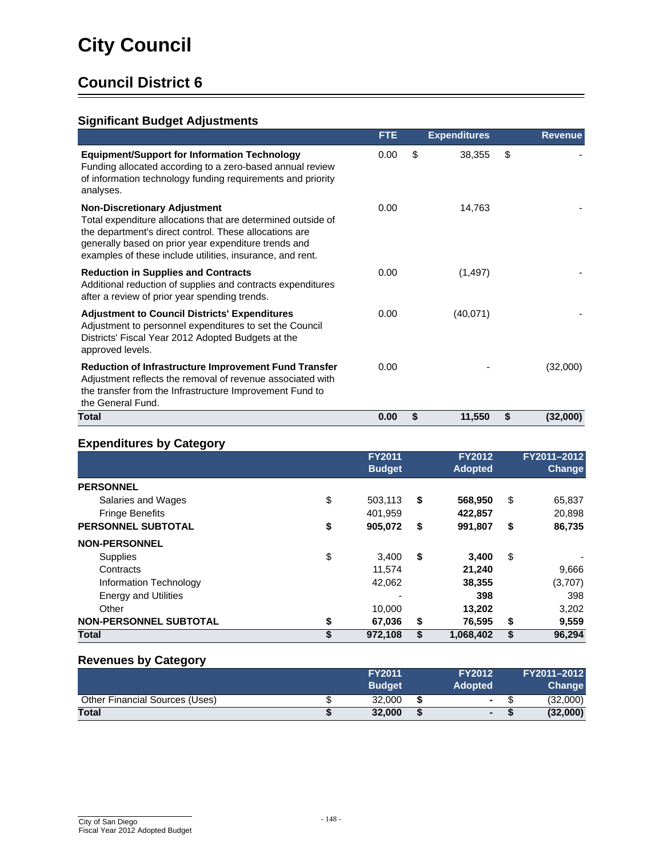## **Significant Budget Adjustments**

|                                                                                                                                                                                                                                                                                    | <b>FTE</b> | <b>Expenditures</b> | <b>Revenue</b> |
|------------------------------------------------------------------------------------------------------------------------------------------------------------------------------------------------------------------------------------------------------------------------------------|------------|---------------------|----------------|
| <b>Equipment/Support for Information Technology</b><br>Funding allocated according to a zero-based annual review<br>of information technology funding requirements and priority<br>analyses.                                                                                       | 0.00       | \$<br>38,355        | \$             |
| <b>Non-Discretionary Adjustment</b><br>Total expenditure allocations that are determined outside of<br>the department's direct control. These allocations are<br>generally based on prior year expenditure trends and<br>examples of these include utilities, insurance, and rent. | 0.00       | 14,763              |                |
| <b>Reduction in Supplies and Contracts</b><br>Additional reduction of supplies and contracts expenditures<br>after a review of prior year spending trends.                                                                                                                         | 0.00       | (1, 497)            |                |
| <b>Adjustment to Council Districts' Expenditures</b><br>Adjustment to personnel expenditures to set the Council<br>Districts' Fiscal Year 2012 Adopted Budgets at the<br>approved levels.                                                                                          | 0.00       | (40,071)            |                |
| <b>Reduction of Infrastructure Improvement Fund Transfer</b><br>Adjustment reflects the removal of revenue associated with<br>the transfer from the Infrastructure Improvement Fund to<br>the General Fund.                                                                        | 0.00       |                     | (32,000)       |
| Total                                                                                                                                                                                                                                                                              | 0.00       | \$<br>11,550        | \$<br>(32,000) |

### **Expenditures by Category**

|                               | <b>FY2011</b><br><b>Budget</b> | <b>FY2012</b><br><b>Adopted</b> | FY2011-2012<br><b>Change</b> |
|-------------------------------|--------------------------------|---------------------------------|------------------------------|
| <b>PERSONNEL</b>              |                                |                                 |                              |
| Salaries and Wages            | \$<br>503,113                  | \$<br>568,950                   | \$<br>65,837                 |
| <b>Fringe Benefits</b>        | 401,959                        | 422,857                         | 20,898                       |
| <b>PERSONNEL SUBTOTAL</b>     | \$<br>905,072                  | \$<br>991,807                   | \$<br>86,735                 |
| <b>NON-PERSONNEL</b>          |                                |                                 |                              |
| <b>Supplies</b>               | \$<br>3.400                    | \$<br>3,400                     | \$                           |
| Contracts                     | 11.574                         | 21,240                          | 9,666                        |
| Information Technology        | 42,062                         | 38,355                          | (3,707)                      |
| <b>Energy and Utilities</b>   |                                | 398                             | 398                          |
| Other                         | 10,000                         | 13,202                          | 3,202                        |
| <b>NON-PERSONNEL SUBTOTAL</b> | \$<br>67,036                   | \$<br>76,595                    | \$<br>9,559                  |
| Total                         | \$<br>972,108                  | \$<br>1,068,402                 | \$<br>96.294                 |

#### **Revenues by Category**

|                                       | <b>FY2011</b><br><b>Budget</b> |   | <b>FY2012</b><br><b>Adopted</b> | FY2011-2012<br>Change |
|---------------------------------------|--------------------------------|---|---------------------------------|-----------------------|
| <b>Other Financial Sources (Uses)</b> | 32,000                         |   | $\sim$                          | (32,000)              |
| <b>Total</b>                          | 32,000                         | S | $-1$                            | (32,000)              |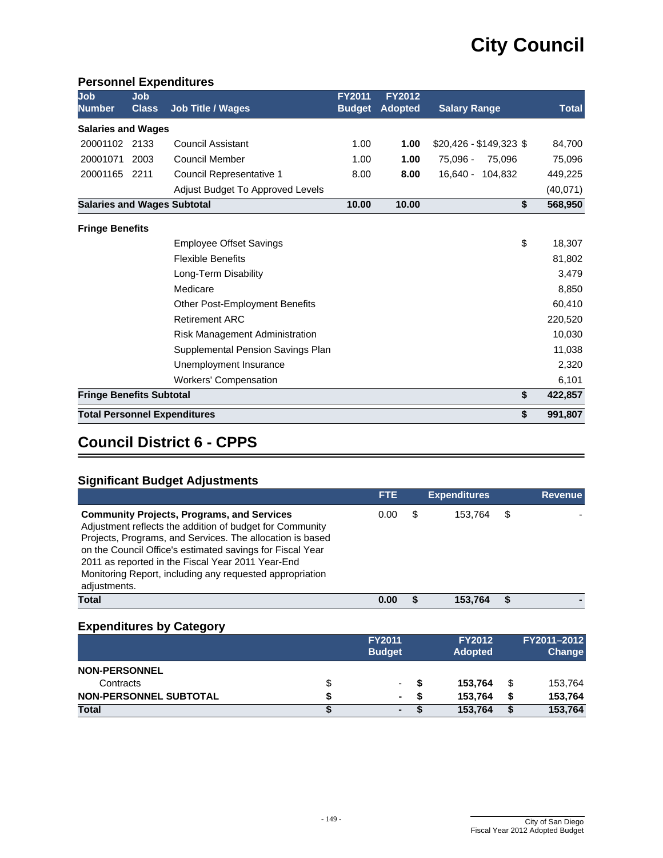#### **Personnel Expenditures**

| Job<br><b>Number</b>               | Job<br><b>Class</b> | <b>Job Title / Wages</b>              | <b>FY2011</b><br><b>Budget</b> | <b>FY2012</b><br><b>Adopted</b> | <b>Salary Range</b>     | <b>Total</b> |
|------------------------------------|---------------------|---------------------------------------|--------------------------------|---------------------------------|-------------------------|--------------|
| <b>Salaries and Wages</b>          |                     |                                       |                                |                                 |                         |              |
| 20001102 2133                      |                     | Council Assistant                     | 1.00                           | 1.00                            | $$20,426 - $149,323$ \$ | 84,700       |
| 20001071                           | 2003                | <b>Council Member</b>                 | 1.00                           | 1.00                            | 75.096 -<br>75.096      | 75,096       |
| 20001165                           | 2211                | Council Representative 1              | 8.00                           | 8.00                            | 16,640 -<br>104,832     | 449,225      |
|                                    |                     | Adjust Budget To Approved Levels      |                                |                                 |                         | (40,071)     |
| <b>Salaries and Wages Subtotal</b> |                     |                                       | 10.00                          | 10.00                           | \$                      | 568,950      |
| <b>Fringe Benefits</b>             |                     |                                       |                                |                                 |                         |              |
|                                    |                     | <b>Employee Offset Savings</b>        |                                |                                 | \$                      | 18,307       |
|                                    |                     | <b>Flexible Benefits</b>              |                                |                                 |                         | 81,802       |
|                                    |                     | Long-Term Disability                  |                                |                                 |                         | 3,479        |
|                                    |                     | Medicare                              |                                |                                 |                         | 8,850        |
|                                    |                     | <b>Other Post-Employment Benefits</b> |                                |                                 |                         | 60,410       |
|                                    |                     | <b>Retirement ARC</b>                 |                                |                                 |                         | 220,520      |
|                                    |                     | Risk Management Administration        |                                |                                 |                         | 10,030       |
|                                    |                     | Supplemental Pension Savings Plan     |                                |                                 |                         | 11,038       |
|                                    |                     | Unemployment Insurance                |                                |                                 |                         | 2,320        |
|                                    |                     | <b>Workers' Compensation</b>          |                                |                                 |                         | 6,101        |
| <b>Fringe Benefits Subtotal</b>    |                     |                                       |                                |                                 | \$                      | 422,857      |
|                                    |                     | <b>Total Personnel Expenditures</b>   |                                |                                 | \$                      | 991,807      |

# **Council District 6 - CPPS**

## **Significant Budget Adjustments**

|                                                                                                                                                                                                                                                                                                                                                                          | <b>FTE</b> |   | <b>Expenditures</b> |   | <b>Revenue</b> |
|--------------------------------------------------------------------------------------------------------------------------------------------------------------------------------------------------------------------------------------------------------------------------------------------------------------------------------------------------------------------------|------------|---|---------------------|---|----------------|
| <b>Community Projects, Programs, and Services</b><br>Adjustment reflects the addition of budget for Community<br>Projects, Programs, and Services. The allocation is based<br>on the Council Office's estimated savings for Fiscal Year<br>2011 as reported in the Fiscal Year 2011 Year-End<br>Monitoring Report, including any requested appropriation<br>adjustments. | 0.00       | S | 153.764             | S |                |
| Total                                                                                                                                                                                                                                                                                                                                                                    | 0.00       |   | 153.764             |   |                |

|                               |   | <b>FY2011</b><br><b>Budget</b> | <b>FY2012</b><br><b>Adopted</b> |   | FY2011-2012<br><b>Change</b> |
|-------------------------------|---|--------------------------------|---------------------------------|---|------------------------------|
| <b>NON-PERSONNEL</b>          |   |                                |                                 |   |                              |
| Contracts                     | S | ۰.                             | 153.764                         | S | 153,764                      |
| <b>NON-PERSONNEL SUBTOTAL</b> |   | ٠.                             | 153.764                         |   | 153,764                      |
| <b>Total</b>                  |   | ٠                              | 153.764                         | Œ | 153,764                      |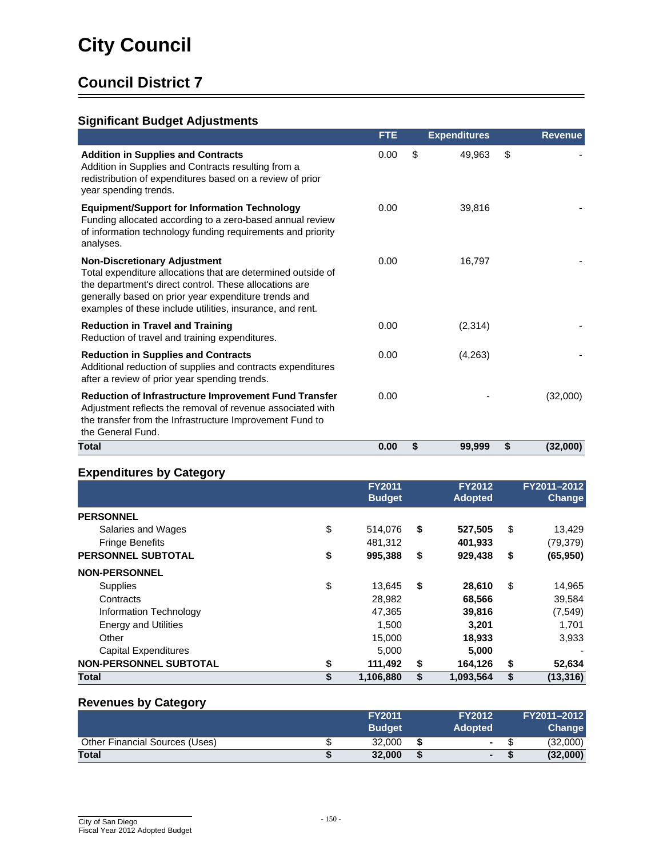## **Significant Budget Adjustments**

|                                                                                                                                                                                                                                                                                    | <b>FTE</b> | <b>Expenditures</b> |    | <b>Revenue</b> |
|------------------------------------------------------------------------------------------------------------------------------------------------------------------------------------------------------------------------------------------------------------------------------------|------------|---------------------|----|----------------|
| <b>Addition in Supplies and Contracts</b><br>Addition in Supplies and Contracts resulting from a<br>redistribution of expenditures based on a review of prior<br>year spending trends.                                                                                             | 0.00       | \$<br>49,963        | \$ |                |
| <b>Equipment/Support for Information Technology</b><br>Funding allocated according to a zero-based annual review<br>of information technology funding requirements and priority<br>analyses.                                                                                       | 0.00       | 39,816              |    |                |
| <b>Non-Discretionary Adjustment</b><br>Total expenditure allocations that are determined outside of<br>the department's direct control. These allocations are<br>generally based on prior year expenditure trends and<br>examples of these include utilities, insurance, and rent. | 0.00       | 16,797              |    |                |
| <b>Reduction in Travel and Training</b><br>Reduction of travel and training expenditures.                                                                                                                                                                                          | 0.00       | (2, 314)            |    |                |
| <b>Reduction in Supplies and Contracts</b><br>Additional reduction of supplies and contracts expenditures<br>after a review of prior year spending trends.                                                                                                                         | 0.00       | (4,263)             |    |                |
| Reduction of Infrastructure Improvement Fund Transfer<br>Adjustment reflects the removal of revenue associated with<br>the transfer from the Infrastructure Improvement Fund to<br>the General Fund.                                                                               | 0.00       |                     |    | (32,000)       |
| Total                                                                                                                                                                                                                                                                              | 0.00       | \$<br>99,999        | S  | (32,000)       |

### **Expenditures by Category**

|                               | <b>FY2011</b><br><b>Budget</b> | <b>FY2012</b><br><b>Adopted</b> | FY2011-2012<br><b>Change</b> |
|-------------------------------|--------------------------------|---------------------------------|------------------------------|
| <b>PERSONNEL</b>              |                                |                                 |                              |
| Salaries and Wages            | \$<br>514,076                  | \$<br>527,505                   | \$<br>13,429                 |
| <b>Fringe Benefits</b>        | 481.312                        | 401,933                         | (79, 379)                    |
| PERSONNEL SUBTOTAL            | \$<br>995,388                  | \$<br>929,438                   | \$<br>(65, 950)              |
| <b>NON-PERSONNEL</b>          |                                |                                 |                              |
| <b>Supplies</b>               | \$<br>13,645                   | \$<br>28,610                    | \$<br>14,965                 |
| Contracts                     | 28,982                         | 68,566                          | 39,584                       |
| Information Technology        | 47,365                         | 39,816                          | (7, 549)                     |
| <b>Energy and Utilities</b>   | 1,500                          | 3,201                           | 1,701                        |
| Other                         | 15,000                         | 18,933                          | 3,933                        |
| <b>Capital Expenditures</b>   | 5,000                          | 5,000                           |                              |
| <b>NON-PERSONNEL SUBTOTAL</b> | \$<br>111,492                  | \$<br>164,126                   | \$<br>52,634                 |
| <b>Total</b>                  | \$<br>1,106,880                | \$<br>1,093,564                 | \$<br>(13, 316)              |

#### **Revenues by Category**

|                                | <b>FY2011</b><br><b>Budget</b> | <b>FY2012</b><br><b>Adopted</b> | FY2011-2012<br><b>Change</b> |
|--------------------------------|--------------------------------|---------------------------------|------------------------------|
| Other Financial Sources (Uses) | 32,000                         | $\sim$                          | (32,000)                     |
| <b>Total</b>                   | 32,000                         | $\blacksquare$                  | (32,000)                     |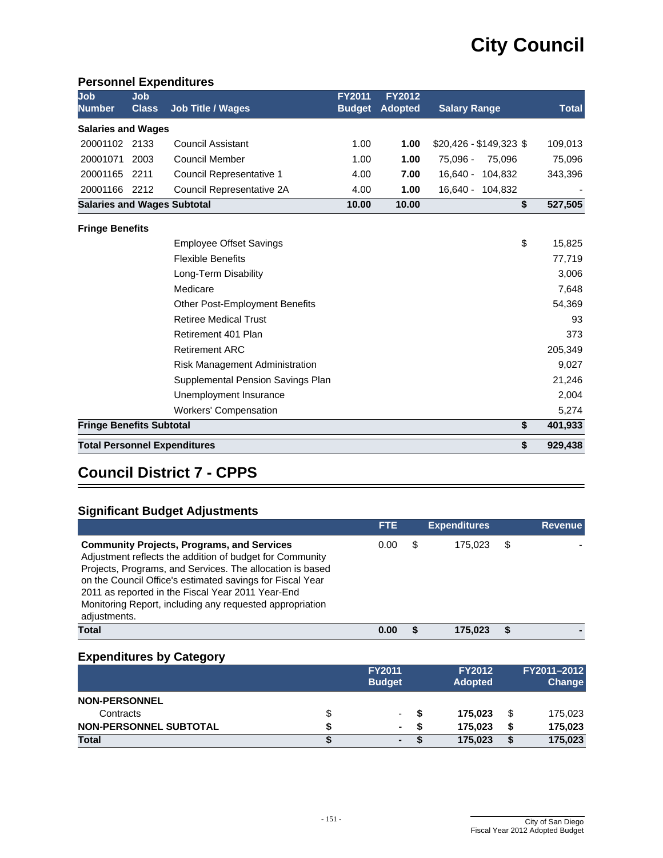#### **Personnel Expenditures**

| Job<br><b>Number</b>               | Job<br><b>Class</b> | <b>Job Title / Wages</b>              | <b>FY2011</b><br><b>Budget</b> | <b>FY2012</b><br><b>Adopted</b> | <b>Salary Range</b>     | <b>Total</b> |
|------------------------------------|---------------------|---------------------------------------|--------------------------------|---------------------------------|-------------------------|--------------|
| <b>Salaries and Wages</b>          |                     |                                       |                                |                                 |                         |              |
|                                    |                     |                                       |                                |                                 |                         |              |
| 20001102 2133                      |                     | <b>Council Assistant</b>              | 1.00                           | 1.00                            | $$20,426 - $149,323$ \$ | 109,013      |
| 20001071                           | 2003                | <b>Council Member</b>                 | 1.00                           | 1.00                            | 75,096 -<br>75,096      | 75,096       |
| 20001165                           | 2211                | Council Representative 1              | 4.00                           | 7.00                            | $16,640 -$<br>104,832   | 343,396      |
| 20001166                           | 2212                | Council Representative 2A             | 4.00                           | 1.00                            | $16,640 -$<br>104,832   |              |
| <b>Salaries and Wages Subtotal</b> |                     |                                       | 10.00                          | 10.00                           | \$                      | 527,505      |
| <b>Fringe Benefits</b>             |                     |                                       |                                |                                 |                         |              |
|                                    |                     | <b>Employee Offset Savings</b>        |                                |                                 | \$                      | 15,825       |
|                                    |                     | <b>Flexible Benefits</b>              |                                |                                 |                         | 77,719       |
|                                    |                     | Long-Term Disability                  |                                |                                 |                         | 3,006        |
|                                    |                     | Medicare                              |                                |                                 |                         | 7,648        |
|                                    |                     | <b>Other Post-Employment Benefits</b> |                                |                                 |                         | 54,369       |
|                                    |                     | <b>Retiree Medical Trust</b>          |                                |                                 |                         | 93           |
|                                    |                     | Retirement 401 Plan                   |                                |                                 |                         | 373          |
|                                    |                     | <b>Retirement ARC</b>                 |                                |                                 |                         | 205,349      |
|                                    |                     | Risk Management Administration        |                                |                                 |                         | 9,027        |
|                                    |                     | Supplemental Pension Savings Plan     |                                |                                 |                         | 21,246       |
|                                    |                     | Unemployment Insurance                |                                |                                 |                         | 2,004        |
|                                    |                     | <b>Workers' Compensation</b>          |                                |                                 |                         | 5,274        |
| <b>Fringe Benefits Subtotal</b>    |                     |                                       |                                |                                 | \$                      | 401,933      |
|                                    |                     | <b>Total Personnel Expenditures</b>   |                                |                                 | \$                      | 929,438      |

# **Council District 7 - CPPS**

#### **Significant Budget Adjustments**

|                                                                                                                                                                                                                                                                                                                                                                          | <b>FTE</b> | <b>Expenditures</b> | <b>Revenue</b> |
|--------------------------------------------------------------------------------------------------------------------------------------------------------------------------------------------------------------------------------------------------------------------------------------------------------------------------------------------------------------------------|------------|---------------------|----------------|
| <b>Community Projects, Programs, and Services</b><br>Adjustment reflects the addition of budget for Community<br>Projects, Programs, and Services. The allocation is based<br>on the Council Office's estimated savings for Fiscal Year<br>2011 as reported in the Fiscal Year 2011 Year-End<br>Monitoring Report, including any requested appropriation<br>adjustments. | 0.00       | 175.023             |                |
| Total                                                                                                                                                                                                                                                                                                                                                                    | 0.00       | 175.023             |                |

|                               |   | <b>FY2011</b><br><b>Budget</b> | <b>FY2012</b><br><b>Adopted</b> |         | FY2011-2012<br><b>Change</b> |         |
|-------------------------------|---|--------------------------------|---------------------------------|---------|------------------------------|---------|
| <b>NON-PERSONNEL</b>          |   |                                |                                 |         |                              |         |
| Contracts                     | ง | ۰.                             |                                 | 175.023 | \$                           | 175,023 |
| <b>NON-PERSONNEL SUBTOTAL</b> |   | $\blacksquare$                 | S                               | 175.023 | S                            | 175,023 |
| <b>Total</b>                  |   | ٠                              |                                 | 175,023 |                              | 175,023 |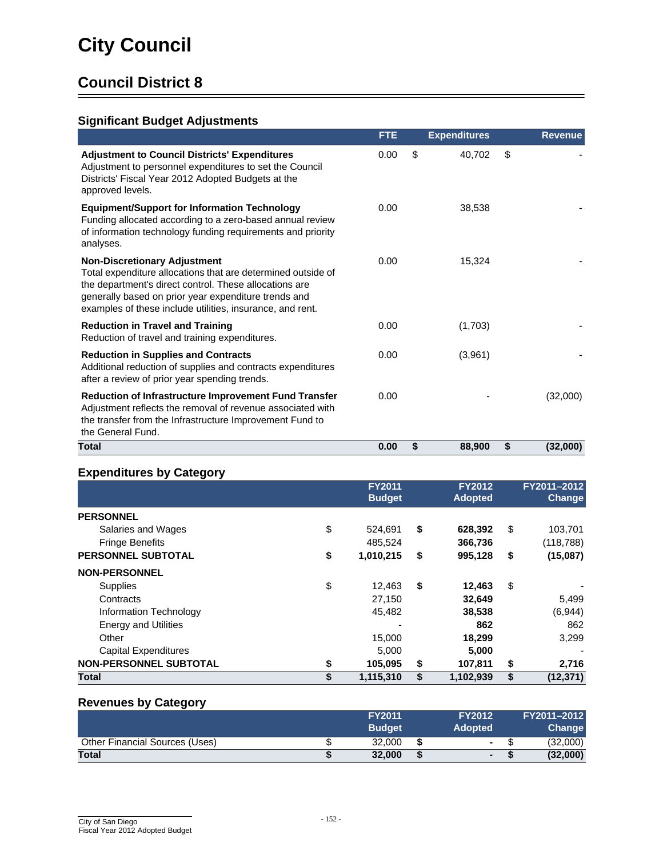## **Significant Budget Adjustments**

|                                                                                                                                                                                                                                                                                    | <b>FTE</b> | <b>Expenditures</b> |    | <b>Revenue</b> |
|------------------------------------------------------------------------------------------------------------------------------------------------------------------------------------------------------------------------------------------------------------------------------------|------------|---------------------|----|----------------|
| <b>Adjustment to Council Districts' Expenditures</b><br>Adjustment to personnel expenditures to set the Council<br>Districts' Fiscal Year 2012 Adopted Budgets at the<br>approved levels.                                                                                          | 0.00       | \$<br>40,702        | \$ |                |
| <b>Equipment/Support for Information Technology</b><br>Funding allocated according to a zero-based annual review<br>of information technology funding requirements and priority<br>analyses.                                                                                       | 0.00       | 38,538              |    |                |
| <b>Non-Discretionary Adjustment</b><br>Total expenditure allocations that are determined outside of<br>the department's direct control. These allocations are<br>generally based on prior year expenditure trends and<br>examples of these include utilities, insurance, and rent. | 0.00       | 15,324              |    |                |
| <b>Reduction in Travel and Training</b><br>Reduction of travel and training expenditures.                                                                                                                                                                                          | 0.00       | (1,703)             |    |                |
| <b>Reduction in Supplies and Contracts</b><br>Additional reduction of supplies and contracts expenditures<br>after a review of prior year spending trends.                                                                                                                         | 0.00       | (3,961)             |    |                |
| Reduction of Infrastructure Improvement Fund Transfer<br>Adjustment reflects the removal of revenue associated with<br>the transfer from the Infrastructure Improvement Fund to<br>the General Fund.                                                                               | 0.00       |                     |    | (32,000)       |
| Total                                                                                                                                                                                                                                                                              | 0.00       | \$<br>88,900        | S  | (32,000)       |

### **Expenditures by Category**

|                               | <b>FY2011</b><br><b>Budget</b> | <b>FY2012</b><br><b>Adopted</b> | FY2011-2012<br><b>Change</b> |
|-------------------------------|--------------------------------|---------------------------------|------------------------------|
| <b>PERSONNEL</b>              |                                |                                 |                              |
| Salaries and Wages            | \$<br>524.691                  | \$<br>628,392                   | \$<br>103,701                |
| <b>Fringe Benefits</b>        | 485.524                        | 366,736                         | (118, 788)                   |
| <b>PERSONNEL SUBTOTAL</b>     | \$<br>1,010,215                | \$<br>995,128                   | \$<br>(15,087)               |
| <b>NON-PERSONNEL</b>          |                                |                                 |                              |
| <b>Supplies</b>               | \$<br>12,463                   | \$<br>12,463                    | \$                           |
| Contracts                     | 27,150                         | 32,649                          | 5,499                        |
| Information Technology        | 45,482                         | 38,538                          | (6,944)                      |
| <b>Energy and Utilities</b>   |                                | 862                             | 862                          |
| Other                         | 15,000                         | 18,299                          | 3,299                        |
| <b>Capital Expenditures</b>   | 5,000                          | 5,000                           |                              |
| <b>NON-PERSONNEL SUBTOTAL</b> | \$<br>105,095                  | \$<br>107,811                   | \$<br>2,716                  |
| <b>Total</b>                  | \$<br>1,115,310                | \$<br>1,102,939                 | \$<br>(12, 371)              |

#### **Revenues by Category**

|                                       | <b>FY2011</b><br><b>Budget</b> |   | <b>FY2012</b><br><b>Adopted</b> | FY2011-2012<br><b>Change</b> |
|---------------------------------------|--------------------------------|---|---------------------------------|------------------------------|
| <b>Other Financial Sources (Uses)</b> | 32.000                         | S | $\sim$                          | (32,000)                     |
| <b>Total</b>                          | 32,000                         | S | $\blacksquare$                  | (32,000)                     |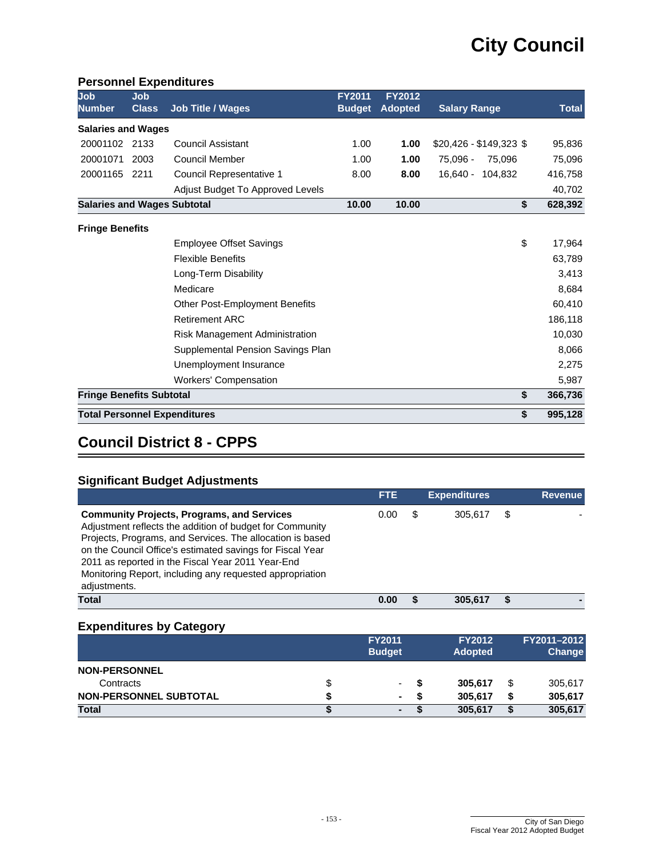#### **Personnel Expenditures**

| Job<br><b>Number</b>               | Job<br><b>Class</b> | <b>Job Title / Wages</b>              | <b>FY2011</b><br><b>Budget</b> | <b>FY2012</b><br><b>Adopted</b> | <b>Salary Range</b>     | <b>Total</b> |
|------------------------------------|---------------------|---------------------------------------|--------------------------------|---------------------------------|-------------------------|--------------|
| <b>Salaries and Wages</b>          |                     |                                       |                                |                                 |                         |              |
| 20001102                           | 2133                | Council Assistant                     | 1.00                           | 1.00                            | $$20,426 - $149,323$ \$ | 95,836       |
| 20001071                           | 2003                | <b>Council Member</b>                 | 1.00                           | 1.00                            | 75,096 -<br>75,096      | 75,096       |
| 20001165                           | 2211                | Council Representative 1              | 8.00                           | 8.00                            | 16.640 - 104.832        | 416,758      |
|                                    |                     | Adjust Budget To Approved Levels      |                                |                                 |                         | 40,702       |
| <b>Salaries and Wages Subtotal</b> |                     |                                       | 10.00                          | 10.00                           | \$                      | 628,392      |
| <b>Fringe Benefits</b>             |                     |                                       |                                |                                 |                         |              |
|                                    |                     | <b>Employee Offset Savings</b>        |                                |                                 | \$                      | 17,964       |
|                                    |                     | <b>Flexible Benefits</b>              |                                |                                 |                         | 63,789       |
|                                    |                     | Long-Term Disability                  |                                |                                 |                         | 3,413        |
|                                    |                     | Medicare                              |                                |                                 |                         | 8,684        |
|                                    |                     | <b>Other Post-Employment Benefits</b> |                                |                                 |                         | 60,410       |
|                                    |                     | <b>Retirement ARC</b>                 |                                |                                 |                         | 186,118      |
|                                    |                     | Risk Management Administration        |                                |                                 |                         | 10,030       |
|                                    |                     | Supplemental Pension Savings Plan     |                                |                                 |                         | 8,066        |
|                                    |                     | Unemployment Insurance                |                                |                                 |                         | 2,275        |
|                                    |                     | <b>Workers' Compensation</b>          |                                |                                 |                         | 5,987        |
| <b>Fringe Benefits Subtotal</b>    |                     |                                       |                                |                                 | \$                      | 366,736      |
|                                    |                     | <b>Total Personnel Expenditures</b>   |                                |                                 | \$                      | 995,128      |

# **Council District 8 - CPPS**

## **Significant Budget Adjustments**

|                                                                                                                                                                                                                                                                                                                                                                          | <b>FTE</b> |   | <b>Expenditures</b> |   | <b>Revenue</b> |
|--------------------------------------------------------------------------------------------------------------------------------------------------------------------------------------------------------------------------------------------------------------------------------------------------------------------------------------------------------------------------|------------|---|---------------------|---|----------------|
| <b>Community Projects, Programs, and Services</b><br>Adjustment reflects the addition of budget for Community<br>Projects, Programs, and Services. The allocation is based<br>on the Council Office's estimated savings for Fiscal Year<br>2011 as reported in the Fiscal Year 2011 Year-End<br>Monitoring Report, including any requested appropriation<br>adjustments. | 0.00       | S | 305.617             | S |                |
| Total                                                                                                                                                                                                                                                                                                                                                                    | 0.00       |   | 305.617             |   |                |

|                               |   | <b>FY2011</b><br><b>Budget</b> | <b>FY2012</b><br><b>Adopted</b> | FY2011-2012<br><b>Change</b> |
|-------------------------------|---|--------------------------------|---------------------------------|------------------------------|
| <b>NON-PERSONNEL</b>          |   |                                |                                 |                              |
| Contracts                     | S | ۰.                             | 305.617                         | \$<br>305,617                |
| <b>NON-PERSONNEL SUBTOTAL</b> |   | ٠.                             | 305.617                         | 305,617                      |
| <b>Total</b>                  |   | ٠                              | 305.617                         | 305,617                      |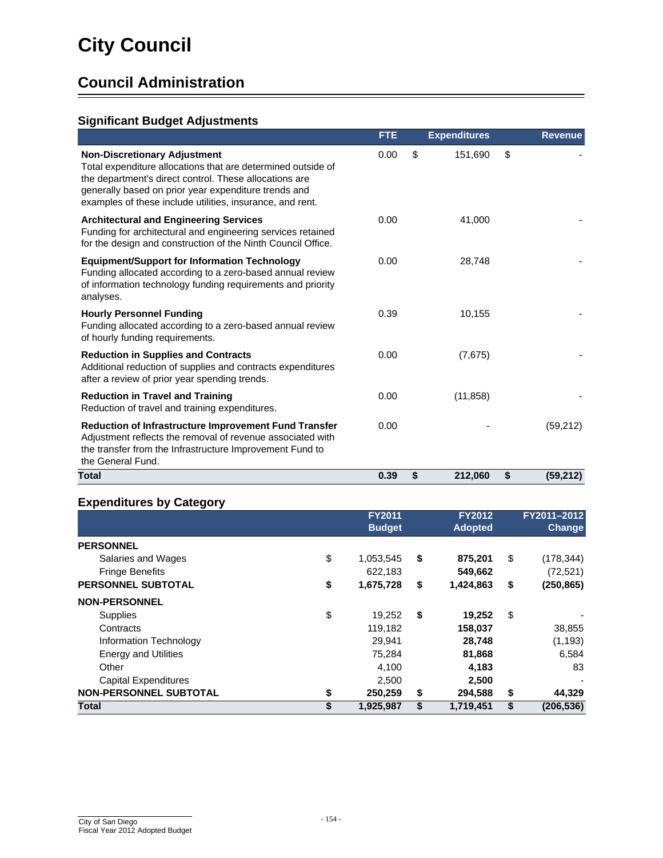# **Council Administration**

## **Significant Budget Adjustments**

|                                                                                                                                                                                                                                                                                    | <b>FTE</b> | <b>Expenditures</b> | <b>Revenue</b>  |
|------------------------------------------------------------------------------------------------------------------------------------------------------------------------------------------------------------------------------------------------------------------------------------|------------|---------------------|-----------------|
| <b>Non-Discretionary Adjustment</b><br>Total expenditure allocations that are determined outside of<br>the department's direct control. These allocations are<br>generally based on prior year expenditure trends and<br>examples of these include utilities, insurance, and rent. | 0.00       | \$<br>151,690       | \$              |
| <b>Architectural and Engineering Services</b><br>Funding for architectural and engineering services retained<br>for the design and construction of the Ninth Council Office.                                                                                                       | 0.00       | 41,000              |                 |
| <b>Equipment/Support for Information Technology</b><br>Funding allocated according to a zero-based annual review<br>of information technology funding requirements and priority<br>analyses.                                                                                       | 0.00       | 28,748              |                 |
| <b>Hourly Personnel Funding</b><br>Funding allocated according to a zero-based annual review<br>of hourly funding requirements.                                                                                                                                                    | 0.39       | 10,155              |                 |
| <b>Reduction in Supplies and Contracts</b><br>Additional reduction of supplies and contracts expenditures<br>after a review of prior year spending trends.                                                                                                                         | 0.00       | (7,675)             |                 |
| <b>Reduction in Travel and Training</b><br>Reduction of travel and training expenditures.                                                                                                                                                                                          | 0.00       | (11, 858)           |                 |
| Reduction of Infrastructure Improvement Fund Transfer<br>Adjustment reflects the removal of revenue associated with<br>the transfer from the Infrastructure Improvement Fund to<br>the General Fund.                                                                               | 0.00       |                     | (59,212)        |
| <b>Total</b>                                                                                                                                                                                                                                                                       | 0.39       | \$<br>212,060       | \$<br>(59, 212) |

|                               | <b>FY2011</b><br><b>Budget</b> | <b>FY2012</b><br><b>Adopted</b> | FY2011-2012<br><b>Change</b> |
|-------------------------------|--------------------------------|---------------------------------|------------------------------|
| <b>PERSONNEL</b>              |                                |                                 |                              |
| Salaries and Wages            | \$<br>1,053,545                | \$<br>875,201                   | \$<br>(178, 344)             |
| <b>Fringe Benefits</b>        | 622.183                        | 549,662                         | (72, 521)                    |
| <b>PERSONNEL SUBTOTAL</b>     | \$<br>1,675,728                | \$<br>1,424,863                 | \$<br>(250, 865)             |
| <b>NON-PERSONNEL</b>          |                                |                                 |                              |
| <b>Supplies</b>               | \$<br>19,252                   | \$<br>19,252                    | \$                           |
| Contracts                     | 119,182                        | 158,037                         | 38,855                       |
| Information Technology        | 29.941                         | 28,748                          | (1, 193)                     |
| <b>Energy and Utilities</b>   | 75,284                         | 81,868                          | 6,584                        |
| Other                         | 4,100                          | 4,183                           | 83                           |
| <b>Capital Expenditures</b>   | 2,500                          | 2,500                           |                              |
| <b>NON-PERSONNEL SUBTOTAL</b> | \$<br>250,259                  | \$<br>294,588                   | \$<br>44,329                 |
| <b>Total</b>                  | \$<br>1,925,987                | \$<br>1,719,451                 | \$<br>(206,536)              |